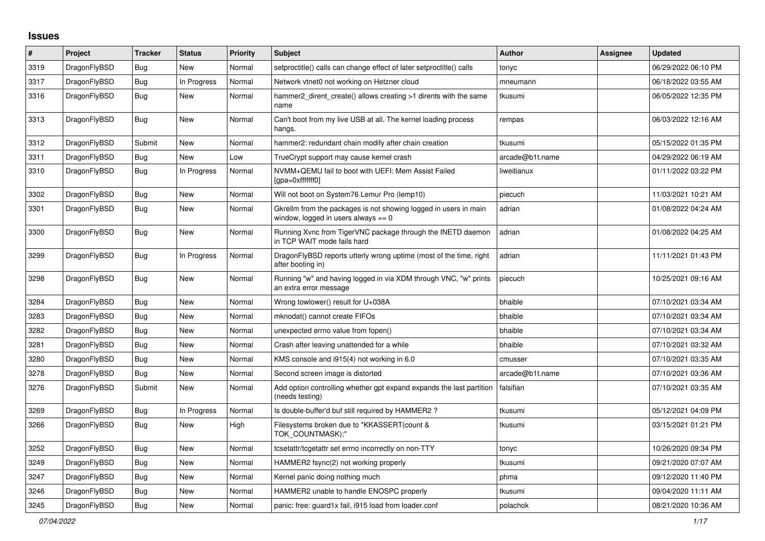## **Issues**

| $\#$ | Project      | <b>Tracker</b> | <b>Status</b> | <b>Priority</b> | <b>Subject</b>                                                                                            | <b>Author</b>   | Assignee | <b>Updated</b>      |
|------|--------------|----------------|---------------|-----------------|-----------------------------------------------------------------------------------------------------------|-----------------|----------|---------------------|
| 3319 | DragonFlyBSD | Bug            | <b>New</b>    | Normal          | setproctitle() calls can change effect of later setproctitle() calls                                      | tonyc           |          | 06/29/2022 06:10 PM |
| 3317 | DragonFlyBSD | <b>Bug</b>     | In Progress   | Normal          | Network vtnet0 not working on Hetzner cloud                                                               | mneumann        |          | 06/18/2022 03:55 AM |
| 3316 | DragonFlyBSD | <b>Bug</b>     | New           | Normal          | hammer2_dirent_create() allows creating >1 dirents with the same<br>name                                  | tkusumi         |          | 06/05/2022 12:35 PM |
| 3313 | DragonFlyBSD | Bug            | New           | Normal          | Can't boot from my live USB at all. The kernel loading process<br>hangs.                                  | rempas          |          | 06/03/2022 12:16 AM |
| 3312 | DragonFlyBSD | Submit         | <b>New</b>    | Normal          | hammer2: redundant chain modify after chain creation                                                      | tkusumi         |          | 05/15/2022 01:35 PM |
| 3311 | DragonFlyBSD | <b>Bug</b>     | <b>New</b>    | Low             | TrueCrypt support may cause kernel crash                                                                  | arcade@b1t.name |          | 04/29/2022 06:19 AM |
| 3310 | DragonFlyBSD | <b>Bug</b>     | In Progress   | Normal          | NVMM+QEMU fail to boot with UEFI: Mem Assist Failed<br>[qpa=0xfffffff0]                                   | liweitianux     |          | 01/11/2022 03:22 PM |
| 3302 | DragonFlyBSD | <b>Bug</b>     | <b>New</b>    | Normal          | Will not boot on System76 Lemur Pro (lemp10)                                                              | piecuch         |          | 11/03/2021 10:21 AM |
| 3301 | DragonFlyBSD | <b>Bug</b>     | <b>New</b>    | Normal          | Gkrellm from the packages is not showing logged in users in main<br>window, logged in users always $== 0$ | adrian          |          | 01/08/2022 04:24 AM |
| 3300 | DragonFlyBSD | Bug            | <b>New</b>    | Normal          | Running Xvnc from TigerVNC package through the INETD daemon<br>in TCP WAIT mode fails hard                | adrian          |          | 01/08/2022 04:25 AM |
| 3299 | DragonFlyBSD | Bug            | In Progress   | Normal          | DragonFlyBSD reports utterly wrong uptime (most of the time, right<br>after booting in)                   | adrian          |          | 11/11/2021 01:43 PM |
| 3298 | DragonFlyBSD | <b>Bug</b>     | New           | Normal          | Running "w" and having logged in via XDM through VNC, "w" prints<br>an extra error message                | piecuch         |          | 10/25/2021 09:16 AM |
| 3284 | DragonFlyBSD | <b>Bug</b>     | New           | Normal          | Wrong towlower() result for U+038A                                                                        | bhaible         |          | 07/10/2021 03:34 AM |
| 3283 | DragonFlyBSD | <b>Bug</b>     | New           | Normal          | mknodat() cannot create FIFOs                                                                             | bhaible         |          | 07/10/2021 03:34 AM |
| 3282 | DragonFlyBSD | <b>Bug</b>     | <b>New</b>    | Normal          | unexpected errno value from fopen()                                                                       | bhaible         |          | 07/10/2021 03:34 AM |
| 3281 | DragonFlyBSD | Bug            | <b>New</b>    | Normal          | Crash after leaving unattended for a while                                                                | bhaible         |          | 07/10/2021 03:32 AM |
| 3280 | DragonFlyBSD | Bug            | <b>New</b>    | Normal          | KMS console and i915(4) not working in 6.0                                                                | cmusser         |          | 07/10/2021 03:35 AM |
| 3278 | DragonFlyBSD | Bug            | <b>New</b>    | Normal          | Second screen image is distorted                                                                          | arcade@b1t.name |          | 07/10/2021 03:36 AM |
| 3276 | DragonFlyBSD | Submit         | New           | Normal          | Add option controlling whether gpt expand expands the last partition<br>(needs testing)                   | falsifian       |          | 07/10/2021 03:35 AM |
| 3269 | DragonFlyBSD | <b>Bug</b>     | In Progress   | Normal          | Is double-buffer'd buf still required by HAMMER2?                                                         | tkusumi         |          | 05/12/2021 04:09 PM |
| 3266 | DragonFlyBSD | <b>Bug</b>     | <b>New</b>    | High            | Filesystems broken due to "KKASSERT(count &<br>TOK COUNTMASK);"                                           | tkusumi         |          | 03/15/2021 01:21 PM |
| 3252 | DragonFlyBSD | <b>Bug</b>     | <b>New</b>    | Normal          | tcsetattr/tcgetattr set errno incorrectly on non-TTY                                                      | tonyc           |          | 10/26/2020 09:34 PM |
| 3249 | DragonFlyBSD | <b>Bug</b>     | <b>New</b>    | Normal          | HAMMER2 fsync(2) not working properly                                                                     | tkusumi         |          | 09/21/2020 07:07 AM |
| 3247 | DragonFlyBSD | <b>Bug</b>     | New           | Normal          | Kernel panic doing nothing much                                                                           | phma            |          | 09/12/2020 11:40 PM |
| 3246 | DragonFlyBSD | Bug            | New           | Normal          | HAMMER2 unable to handle ENOSPC properly                                                                  | tkusumi         |          | 09/04/2020 11:11 AM |
| 3245 | DragonFlyBSD | <b>Bug</b>     | New           | Normal          | panic: free: guard1x fail, i915 load from loader.conf                                                     | polachok        |          | 08/21/2020 10:36 AM |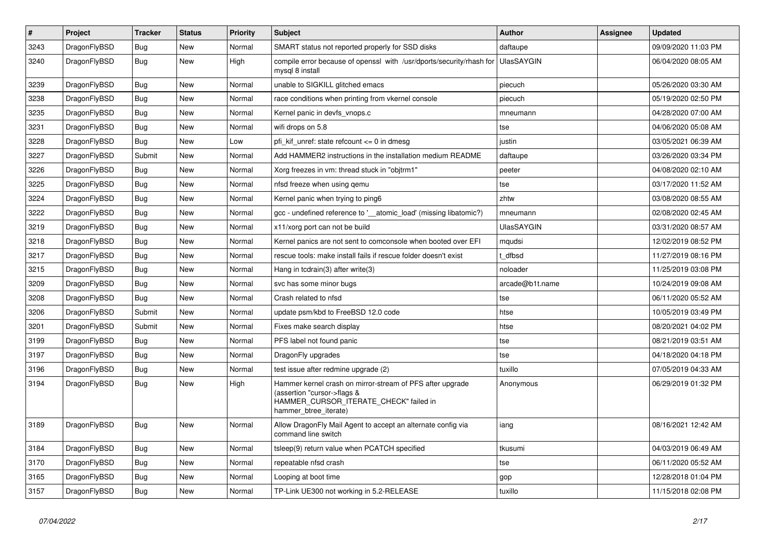| $\vert$ # | Project      | <b>Tracker</b> | <b>Status</b> | <b>Priority</b> | <b>Subject</b>                                                                                                                                              | <b>Author</b>     | Assignee | <b>Updated</b>      |
|-----------|--------------|----------------|---------------|-----------------|-------------------------------------------------------------------------------------------------------------------------------------------------------------|-------------------|----------|---------------------|
| 3243      | DragonFlyBSD | Bug            | New           | Normal          | SMART status not reported properly for SSD disks                                                                                                            | daftaupe          |          | 09/09/2020 11:03 PM |
| 3240      | DragonFlyBSD | <b>Bug</b>     | <b>New</b>    | High            | compile error because of openssl with /usr/dports/security/rhash for<br>mysgl 8 install                                                                     | <b>UlasSAYGIN</b> |          | 06/04/2020 08:05 AM |
| 3239      | DragonFlyBSD | Bug            | <b>New</b>    | Normal          | unable to SIGKILL glitched emacs                                                                                                                            | piecuch           |          | 05/26/2020 03:30 AM |
| 3238      | DragonFlyBSD | <b>Bug</b>     | <b>New</b>    | Normal          | race conditions when printing from vkernel console                                                                                                          | piecuch           |          | 05/19/2020 02:50 PM |
| 3235      | DragonFlyBSD | <b>Bug</b>     | New           | Normal          | Kernel panic in devfs_vnops.c                                                                                                                               | mneumann          |          | 04/28/2020 07:00 AM |
| 3231      | DragonFlyBSD | <b>Bug</b>     | New           | Normal          | wifi drops on 5.8                                                                                                                                           | tse               |          | 04/06/2020 05:08 AM |
| 3228      | DragonFlyBSD | Bug            | <b>New</b>    | Low             | pfi kif unref: state refcount $\leq$ 0 in dmesg                                                                                                             | justin            |          | 03/05/2021 06:39 AM |
| 3227      | DragonFlyBSD | Submit         | <b>New</b>    | Normal          | Add HAMMER2 instructions in the installation medium README                                                                                                  | daftaupe          |          | 03/26/2020 03:34 PM |
| 3226      | DragonFlyBSD | <b>Bug</b>     | New           | Normal          | Xorg freezes in vm: thread stuck in "objtrm1"                                                                                                               | peeter            |          | 04/08/2020 02:10 AM |
| 3225      | DragonFlyBSD | Bug            | New           | Normal          | nfsd freeze when using gemu                                                                                                                                 | tse               |          | 03/17/2020 11:52 AM |
| 3224      | DragonFlyBSD | Bug            | New           | Normal          | Kernel panic when trying to ping6                                                                                                                           | zhtw              |          | 03/08/2020 08:55 AM |
| 3222      | DragonFlyBSD | Bug            | New           | Normal          | gcc - undefined reference to ' atomic load' (missing libatomic?)                                                                                            | mneumann          |          | 02/08/2020 02:45 AM |
| 3219      | DragonFlyBSD | Bug            | New           | Normal          | x11/xorg port can not be build                                                                                                                              | UlasSAYGIN        |          | 03/31/2020 08:57 AM |
| 3218      | DragonFlyBSD | <b>Bug</b>     | New           | Normal          | Kernel panics are not sent to comconsole when booted over EFI                                                                                               | mqudsi            |          | 12/02/2019 08:52 PM |
| 3217      | DragonFlyBSD | <b>Bug</b>     | New           | Normal          | rescue tools: make install fails if rescue folder doesn't exist                                                                                             | t dfbsd           |          | 11/27/2019 08:16 PM |
| 3215      | DragonFlyBSD | Bug            | New           | Normal          | Hang in todrain(3) after write(3)                                                                                                                           | noloader          |          | 11/25/2019 03:08 PM |
| 3209      | DragonFlyBSD | <b>Bug</b>     | <b>New</b>    | Normal          | svc has some minor bugs                                                                                                                                     | arcade@b1t.name   |          | 10/24/2019 09:08 AM |
| 3208      | DragonFlyBSD | Bug            | New           | Normal          | Crash related to nfsd                                                                                                                                       | tse               |          | 06/11/2020 05:52 AM |
| 3206      | DragonFlyBSD | Submit         | New           | Normal          | update psm/kbd to FreeBSD 12.0 code                                                                                                                         | htse              |          | 10/05/2019 03:49 PM |
| 3201      | DragonFlyBSD | Submit         | New           | Normal          | Fixes make search display                                                                                                                                   | htse              |          | 08/20/2021 04:02 PM |
| 3199      | DragonFlyBSD | <b>Bug</b>     | <b>New</b>    | Normal          | PFS label not found panic                                                                                                                                   | tse               |          | 08/21/2019 03:51 AM |
| 3197      | DragonFlyBSD | Bug            | New           | Normal          | DragonFly upgrades                                                                                                                                          | tse               |          | 04/18/2020 04:18 PM |
| 3196      | DragonFlyBSD | <b>Bug</b>     | New           | Normal          | test issue after redmine upgrade (2)                                                                                                                        | tuxillo           |          | 07/05/2019 04:33 AM |
| 3194      | DragonFlyBSD | <b>Bug</b>     | New           | High            | Hammer kernel crash on mirror-stream of PFS after upgrade<br>(assertion "cursor->flags &<br>HAMMER_CURSOR_ITERATE_CHECK" failed in<br>hammer btree iterate) | Anonymous         |          | 06/29/2019 01:32 PM |
| 3189      | DragonFlyBSD | <b>Bug</b>     | <b>New</b>    | Normal          | Allow DragonFly Mail Agent to accept an alternate config via<br>command line switch                                                                         | iang              |          | 08/16/2021 12:42 AM |
| 3184      | DragonFlyBSD | Bug            | New           | Normal          | tsleep(9) return value when PCATCH specified                                                                                                                | tkusumi           |          | 04/03/2019 06:49 AM |
| 3170      | DragonFlyBSD | <b>Bug</b>     | New           | Normal          | repeatable nfsd crash                                                                                                                                       | tse               |          | 06/11/2020 05:52 AM |
| 3165      | DragonFlyBSD | <b>Bug</b>     | <b>New</b>    | Normal          | Looping at boot time                                                                                                                                        | gop               |          | 12/28/2018 01:04 PM |
| 3157      | DragonFlyBSD | <b>Bug</b>     | <b>New</b>    | Normal          | TP-Link UE300 not working in 5.2-RELEASE                                                                                                                    | tuxillo           |          | 11/15/2018 02:08 PM |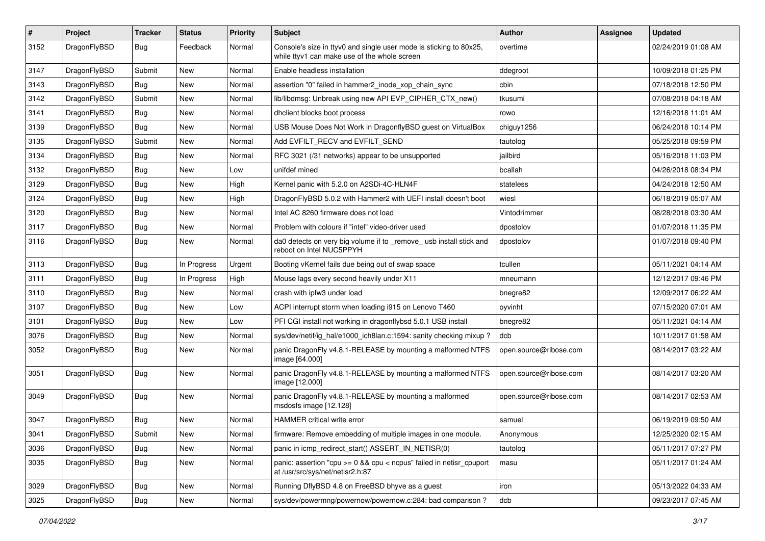| #    | Project      | <b>Tracker</b> | <b>Status</b> | <b>Priority</b> | Subject                                                                                                            | Author                 | Assignee | <b>Updated</b>      |
|------|--------------|----------------|---------------|-----------------|--------------------------------------------------------------------------------------------------------------------|------------------------|----------|---------------------|
| 3152 | DragonFlyBSD | Bug            | Feedback      | Normal          | Console's size in ttyv0 and single user mode is sticking to 80x25,<br>while ttyv1 can make use of the whole screen | overtime               |          | 02/24/2019 01:08 AM |
| 3147 | DragonFlyBSD | Submit         | New           | Normal          | Enable headless installation                                                                                       | ddegroot               |          | 10/09/2018 01:25 PM |
| 3143 | DragonFlyBSD | Bug            | New           | Normal          | assertion "0" failed in hammer2 inode xop chain sync                                                               | cbin                   |          | 07/18/2018 12:50 PM |
| 3142 | DragonFlyBSD | Submit         | <b>New</b>    | Normal          | lib/libdmsg: Unbreak using new API EVP_CIPHER_CTX_new()                                                            | tkusumi                |          | 07/08/2018 04:18 AM |
| 3141 | DragonFlyBSD | <b>Bug</b>     | New           | Normal          | dhclient blocks boot process                                                                                       | rowo                   |          | 12/16/2018 11:01 AM |
| 3139 | DragonFlyBSD | Bug            | <b>New</b>    | Normal          | USB Mouse Does Not Work in DragonflyBSD guest on VirtualBox                                                        | chiguy1256             |          | 06/24/2018 10:14 PM |
| 3135 | DragonFlyBSD | Submit         | New           | Normal          | Add EVFILT_RECV and EVFILT_SEND                                                                                    | tautolog               |          | 05/25/2018 09:59 PM |
| 3134 | DragonFlyBSD | Bug            | New           | Normal          | RFC 3021 (/31 networks) appear to be unsupported                                                                   | jailbird               |          | 05/16/2018 11:03 PM |
| 3132 | DragonFlyBSD | Bug            | <b>New</b>    | Low             | unifdef mined                                                                                                      | bcallah                |          | 04/26/2018 08:34 PM |
| 3129 | DragonFlyBSD | <b>Bug</b>     | New           | High            | Kernel panic with 5.2.0 on A2SDi-4C-HLN4F                                                                          | stateless              |          | 04/24/2018 12:50 AM |
| 3124 | DragonFlyBSD | Bug            | <b>New</b>    | High            | DragonFlyBSD 5.0.2 with Hammer2 with UEFI install doesn't boot                                                     | wiesl                  |          | 06/18/2019 05:07 AM |
| 3120 | DragonFlyBSD | <b>Bug</b>     | New           | Normal          | Intel AC 8260 firmware does not load                                                                               | Vintodrimmer           |          | 08/28/2018 03:30 AM |
| 3117 | DragonFlyBSD | Bug            | New           | Normal          | Problem with colours if "intel" video-driver used                                                                  | dpostolov              |          | 01/07/2018 11:35 PM |
| 3116 | DragonFlyBSD | Bug            | New           | Normal          | da0 detects on very big volume if to _remove_ usb install stick and<br>reboot on Intel NUC5PPYH                    | dpostolov              |          | 01/07/2018 09:40 PM |
| 3113 | DragonFlyBSD | Bug            | In Progress   | Urgent          | Booting vKernel fails due being out of swap space                                                                  | tcullen                |          | 05/11/2021 04:14 AM |
| 3111 | DragonFlyBSD | <b>Bug</b>     | In Progress   | High            | Mouse lags every second heavily under X11                                                                          | mneumann               |          | 12/12/2017 09:46 PM |
| 3110 | DragonFlyBSD | <b>Bug</b>     | New           | Normal          | crash with ipfw3 under load                                                                                        | bnegre82               |          | 12/09/2017 06:22 AM |
| 3107 | DragonFlyBSD | Bug            | <b>New</b>    | Low             | ACPI interrupt storm when loading i915 on Lenovo T460                                                              | oyvinht                |          | 07/15/2020 07:01 AM |
| 3101 | DragonFlyBSD | <b>Bug</b>     | New           | Low             | PFI CGI install not working in dragonflybsd 5.0.1 USB install                                                      | bnegre82               |          | 05/11/2021 04:14 AM |
| 3076 | DragonFlyBSD | Bug            | New           | Normal          | sys/dev/netif/ig_hal/e1000_ich8lan.c:1594: sanity checking mixup?                                                  | dcb                    |          | 10/11/2017 01:58 AM |
| 3052 | DragonFlyBSD | Bug            | New           | Normal          | panic DragonFly v4.8.1-RELEASE by mounting a malformed NTFS<br>image [64.000]                                      | open.source@ribose.com |          | 08/14/2017 03:22 AM |
| 3051 | DragonFlyBSD | Bug            | New           | Normal          | panic DragonFly v4.8.1-RELEASE by mounting a malformed NTFS<br>image [12.000]                                      | open.source@ribose.com |          | 08/14/2017 03:20 AM |
| 3049 | DragonFlyBSD | Bug            | <b>New</b>    | Normal          | panic DragonFly v4.8.1-RELEASE by mounting a malformed<br>msdosfs image [12.128]                                   | open.source@ribose.com |          | 08/14/2017 02:53 AM |
| 3047 | DragonFlyBSD | <b>Bug</b>     | New           | Normal          | HAMMER critical write error                                                                                        | samuel                 |          | 06/19/2019 09:50 AM |
| 3041 | DragonFlyBSD | Submit         | New           | Normal          | firmware: Remove embedding of multiple images in one module.                                                       | Anonymous              |          | 12/25/2020 02:15 AM |
| 3036 | DragonFlyBSD | <b>Bug</b>     | New           | Normal          | panic in icmp_redirect_start() ASSERT_IN_NETISR(0)                                                                 | tautolog               |          | 05/11/2017 07:27 PM |
| 3035 | DragonFlyBSD | Bug            | New           | Normal          | panic: assertion "cpu >= 0 && cpu < ncpus" failed in netisr_cpuport<br>at /usr/src/sys/net/netisr2.h:87            | masu                   |          | 05/11/2017 01:24 AM |
| 3029 | DragonFlyBSD | <b>Bug</b>     | New           | Normal          | Running DflyBSD 4.8 on FreeBSD bhyve as a guest                                                                    | iron                   |          | 05/13/2022 04:33 AM |
| 3025 | DragonFlyBSD | Bug            | New           | Normal          | sys/dev/powermng/powernow/powernow.c:284: bad comparison?                                                          | dcb                    |          | 09/23/2017 07:45 AM |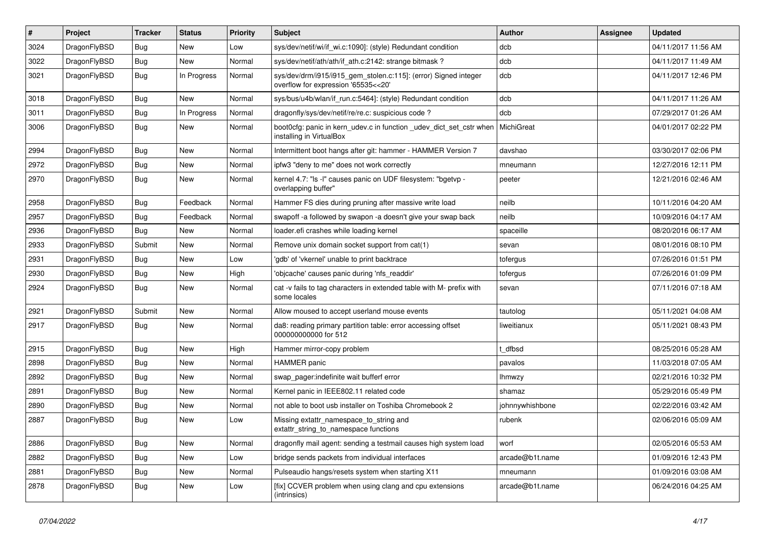| $\sharp$ | Project      | <b>Tracker</b> | <b>Status</b> | <b>Priority</b> | Subject                                                                                                | Author          | Assignee | <b>Updated</b>      |
|----------|--------------|----------------|---------------|-----------------|--------------------------------------------------------------------------------------------------------|-----------------|----------|---------------------|
| 3024     | DragonFlyBSD | Bug            | <b>New</b>    | Low             | sys/dev/netif/wi/if_wi.c:1090]: (style) Redundant condition                                            | dcb             |          | 04/11/2017 11:56 AM |
| 3022     | DragonFlyBSD | <b>Bug</b>     | New           | Normal          | sys/dev/netif/ath/ath/if_ath.c:2142: strange bitmask?                                                  | dcb             |          | 04/11/2017 11:49 AM |
| 3021     | DragonFlyBSD | <b>Bug</b>     | In Progress   | Normal          | sys/dev/drm/i915/i915_gem_stolen.c:115]: (error) Signed integer<br>overflow for expression '65535<<20' | dcb             |          | 04/11/2017 12:46 PM |
| 3018     | DragonFlyBSD | Bug            | <b>New</b>    | Normal          | sys/bus/u4b/wlan/if_run.c:5464]: (style) Redundant condition                                           | dcb             |          | 04/11/2017 11:26 AM |
| 3011     | DragonFlyBSD | <b>Bug</b>     | In Progress   | Normal          | dragonfly/sys/dev/netif/re/re.c: suspicious code ?                                                     | dcb             |          | 07/29/2017 01:26 AM |
| 3006     | DragonFlyBSD | <b>Bug</b>     | <b>New</b>    | Normal          | boot0cfg: panic in kern_udev.c in function _udev_dict_set_cstr when<br>installing in VirtualBox        | MichiGreat      |          | 04/01/2017 02:22 PM |
| 2994     | DragonFlyBSD | <b>Bug</b>     | <b>New</b>    | Normal          | Intermittent boot hangs after git: hammer - HAMMER Version 7                                           | davshao         |          | 03/30/2017 02:06 PM |
| 2972     | DragonFlyBSD | <b>Bug</b>     | <b>New</b>    | Normal          | ipfw3 "deny to me" does not work correctly                                                             | mneumann        |          | 12/27/2016 12:11 PM |
| 2970     | DragonFlyBSD | Bug            | <b>New</b>    | Normal          | kernel 4.7: "Is -I" causes panic on UDF filesystem: "bgetvp -<br>overlapping buffer"                   | peeter          |          | 12/21/2016 02:46 AM |
| 2958     | DragonFlyBSD | <b>Bug</b>     | Feedback      | Normal          | Hammer FS dies during pruning after massive write load                                                 | neilb           |          | 10/11/2016 04:20 AM |
| 2957     | DragonFlyBSD | <b>Bug</b>     | Feedback      | Normal          | swapoff -a followed by swapon -a doesn't give your swap back                                           | neilb           |          | 10/09/2016 04:17 AM |
| 2936     | DragonFlyBSD | Bug            | <b>New</b>    | Normal          | loader.efi crashes while loading kernel                                                                | spaceille       |          | 08/20/2016 06:17 AM |
| 2933     | DragonFlyBSD | Submit         | New           | Normal          | Remove unix domain socket support from cat(1)                                                          | sevan           |          | 08/01/2016 08:10 PM |
| 2931     | DragonFlyBSD | <b>Bug</b>     | <b>New</b>    | Low             | 'gdb' of 'vkernel' unable to print backtrace                                                           | tofergus        |          | 07/26/2016 01:51 PM |
| 2930     | DragonFlyBSD | <b>Bug</b>     | <b>New</b>    | High            | 'objcache' causes panic during 'nfs_readdir'                                                           | tofergus        |          | 07/26/2016 01:09 PM |
| 2924     | DragonFlyBSD | <b>Bug</b>     | <b>New</b>    | Normal          | cat -v fails to tag characters in extended table with M- prefix with<br>some locales                   | sevan           |          | 07/11/2016 07:18 AM |
| 2921     | DragonFlyBSD | Submit         | <b>New</b>    | Normal          | Allow moused to accept userland mouse events                                                           | tautolog        |          | 05/11/2021 04:08 AM |
| 2917     | DragonFlyBSD | Bug            | New           | Normal          | da8: reading primary partition table: error accessing offset<br>000000000000 for 512                   | liweitianux     |          | 05/11/2021 08:43 PM |
| 2915     | DragonFlyBSD | Bug            | <b>New</b>    | High            | Hammer mirror-copy problem                                                                             | t dfbsd         |          | 08/25/2016 05:28 AM |
| 2898     | DragonFlyBSD | <b>Bug</b>     | <b>New</b>    | Normal          | <b>HAMMER</b> panic                                                                                    | pavalos         |          | 11/03/2018 07:05 AM |
| 2892     | DragonFlyBSD | <b>Bug</b>     | <b>New</b>    | Normal          | swap pager:indefinite wait bufferf error                                                               | <b>Ihmwzy</b>   |          | 02/21/2016 10:32 PM |
| 2891     | DragonFlyBSD | <b>Bug</b>     | <b>New</b>    | Normal          | Kernel panic in IEEE802.11 related code                                                                | shamaz          |          | 05/29/2016 05:49 PM |
| 2890     | DragonFlyBSD | <b>Bug</b>     | New           | Normal          | not able to boot usb installer on Toshiba Chromebook 2                                                 | johnnywhishbone |          | 02/22/2016 03:42 AM |
| 2887     | DragonFlyBSD | <b>Bug</b>     | <b>New</b>    | Low             | Missing extattr_namespace_to_string and<br>extattr_string_to_namespace functions                       | rubenk          |          | 02/06/2016 05:09 AM |
| 2886     | DragonFlyBSD | Bug            | New           | Normal          | dragonfly mail agent: sending a testmail causes high system load                                       | worf            |          | 02/05/2016 05:53 AM |
| 2882     | DragonFlyBSD | Bug            | New           | Low             | bridge sends packets from individual interfaces                                                        | arcade@b1t.name |          | 01/09/2016 12:43 PM |
| 2881     | DragonFlyBSD | <b>Bug</b>     | New           | Normal          | Pulseaudio hangs/resets system when starting X11                                                       | mneumann        |          | 01/09/2016 03:08 AM |
| 2878     | DragonFlyBSD | <b>Bug</b>     | New           | Low             | [fix] CCVER problem when using clang and cpu extensions<br>(intrinsics)                                | arcade@b1t.name |          | 06/24/2016 04:25 AM |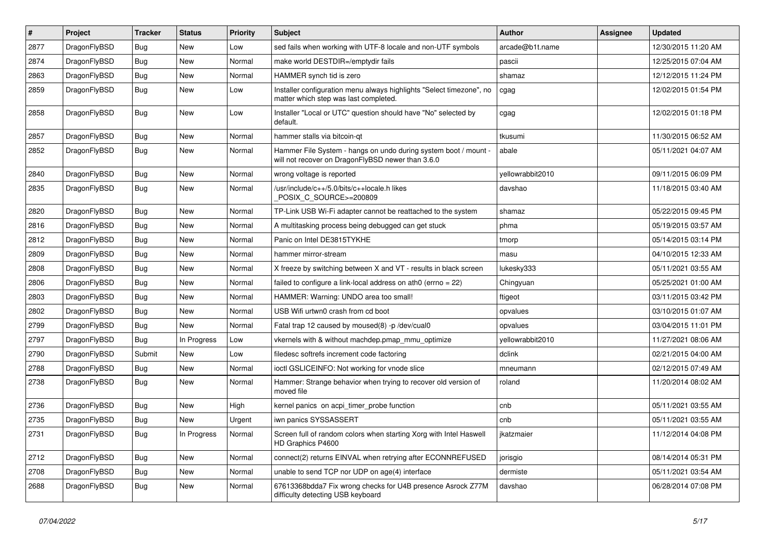| #    | Project      | <b>Tracker</b> | <b>Status</b> | <b>Priority</b> | <b>Subject</b>                                                                                                       | <b>Author</b>    | Assignee | <b>Updated</b>      |
|------|--------------|----------------|---------------|-----------------|----------------------------------------------------------------------------------------------------------------------|------------------|----------|---------------------|
| 2877 | DragonFlyBSD | <b>Bug</b>     | <b>New</b>    | Low             | sed fails when working with UTF-8 locale and non-UTF symbols                                                         | arcade@b1t.name  |          | 12/30/2015 11:20 AM |
| 2874 | DragonFlyBSD | <b>Bug</b>     | <b>New</b>    | Normal          | make world DESTDIR=/emptydir fails                                                                                   | pascii           |          | 12/25/2015 07:04 AM |
| 2863 | DragonFlyBSD | <b>Bug</b>     | <b>New</b>    | Normal          | HAMMER synch tid is zero                                                                                             | shamaz           |          | 12/12/2015 11:24 PM |
| 2859 | DragonFlyBSD | Bug            | <b>New</b>    | Low             | Installer configuration menu always highlights "Select timezone", no<br>matter which step was last completed.        | cgag             |          | 12/02/2015 01:54 PM |
| 2858 | DragonFlyBSD | Bug            | New           | Low             | Installer "Local or UTC" question should have "No" selected by<br>default.                                           | cgag             |          | 12/02/2015 01:18 PM |
| 2857 | DragonFlyBSD | <b>Bug</b>     | <b>New</b>    | Normal          | hammer stalls via bitcoin-qt                                                                                         | tkusumi          |          | 11/30/2015 06:52 AM |
| 2852 | DragonFlyBSD | Bug            | <b>New</b>    | Normal          | Hammer File System - hangs on undo during system boot / mount -<br>will not recover on DragonFlyBSD newer than 3.6.0 | abale            |          | 05/11/2021 04:07 AM |
| 2840 | DragonFlyBSD | <b>Bug</b>     | <b>New</b>    | Normal          | wrong voltage is reported                                                                                            | yellowrabbit2010 |          | 09/11/2015 06:09 PM |
| 2835 | DragonFlyBSD | Bug            | <b>New</b>    | Normal          | /usr/include/c++/5.0/bits/c++locale.h likes<br>POSIX_C_SOURCE>=200809                                                | davshao          |          | 11/18/2015 03:40 AM |
| 2820 | DragonFlyBSD | <b>Bug</b>     | <b>New</b>    | Normal          | TP-Link USB Wi-Fi adapter cannot be reattached to the system                                                         | shamaz           |          | 05/22/2015 09:45 PM |
| 2816 | DragonFlyBSD | Bug            | <b>New</b>    | Normal          | A multitasking process being debugged can get stuck                                                                  | phma             |          | 05/19/2015 03:57 AM |
| 2812 | DragonFlyBSD | <b>Bug</b>     | <b>New</b>    | Normal          | Panic on Intel DE3815TYKHE                                                                                           | tmorp            |          | 05/14/2015 03:14 PM |
| 2809 | DragonFlyBSD | Bug            | <b>New</b>    | Normal          | hammer mirror-stream                                                                                                 | masu             |          | 04/10/2015 12:33 AM |
| 2808 | DragonFlyBSD | <b>Bug</b>     | <b>New</b>    | Normal          | X freeze by switching between X and VT - results in black screen                                                     | lukesky333       |          | 05/11/2021 03:55 AM |
| 2806 | DragonFlyBSD | <b>Bug</b>     | <b>New</b>    | Normal          | failed to configure a link-local address on ath0 (errno = 22)                                                        | Chingyuan        |          | 05/25/2021 01:00 AM |
| 2803 | DragonFlyBSD | Bug            | <b>New</b>    | Normal          | HAMMER: Warning: UNDO area too small!                                                                                | ftigeot          |          | 03/11/2015 03:42 PM |
| 2802 | DragonFlyBSD | <b>Bug</b>     | <b>New</b>    | Normal          | USB Wifi urtwn0 crash from cd boot                                                                                   | opvalues         |          | 03/10/2015 01:07 AM |
| 2799 | DragonFlyBSD | <b>Bug</b>     | New           | Normal          | Fatal trap 12 caused by moused(8) -p/dev/cual0                                                                       | opvalues         |          | 03/04/2015 11:01 PM |
| 2797 | DragonFlyBSD | Bug            | In Progress   | Low             | vkernels with & without machdep.pmap_mmu_optimize                                                                    | yellowrabbit2010 |          | 11/27/2021 08:06 AM |
| 2790 | DragonFlyBSD | Submit         | <b>New</b>    | Low             | filedesc softrefs increment code factoring                                                                           | dclink           |          | 02/21/2015 04:00 AM |
| 2788 | DragonFlyBSD | Bug            | <b>New</b>    | Normal          | ioctl GSLICEINFO: Not working for vnode slice                                                                        | mneumann         |          | 02/12/2015 07:49 AM |
| 2738 | DragonFlyBSD | Bug            | <b>New</b>    | Normal          | Hammer: Strange behavior when trying to recover old version of<br>moved file                                         | roland           |          | 11/20/2014 08:02 AM |
| 2736 | DragonFlyBSD | Bug            | <b>New</b>    | High            | kernel panics on acpi_timer_probe function                                                                           | cnb              |          | 05/11/2021 03:55 AM |
| 2735 | DragonFlyBSD | <b>Bug</b>     | <b>New</b>    | Urgent          | iwn panics SYSSASSERT                                                                                                | cnb              |          | 05/11/2021 03:55 AM |
| 2731 | DragonFlyBSD | Bug            | In Progress   | Normal          | Screen full of random colors when starting Xorg with Intel Haswell<br>HD Graphics P4600                              | jkatzmaier       |          | 11/12/2014 04:08 PM |
| 2712 | DragonFlyBSD | <b>Bug</b>     | New           | Normal          | connect(2) returns EINVAL when retrying after ECONNREFUSED                                                           | jorisgio         |          | 08/14/2014 05:31 PM |
| 2708 | DragonFlyBSD | <b>Bug</b>     | New           | Normal          | unable to send TCP nor UDP on age(4) interface                                                                       | dermiste         |          | 05/11/2021 03:54 AM |
| 2688 | DragonFlyBSD | <b>Bug</b>     | New           | Normal          | 67613368bdda7 Fix wrong checks for U4B presence Asrock Z77M<br>difficulty detecting USB keyboard                     | davshao          |          | 06/28/2014 07:08 PM |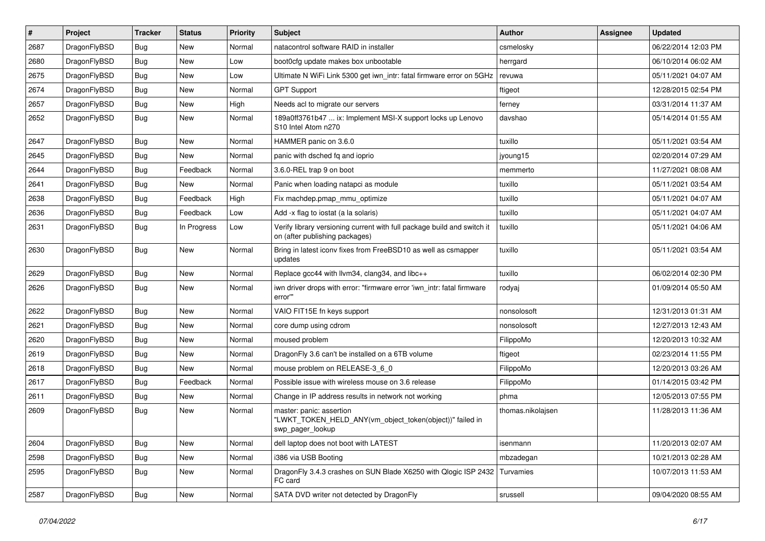| #    | Project      | <b>Tracker</b> | <b>Status</b> | <b>Priority</b> | Subject                                                                                                   | Author            | Assignee | <b>Updated</b>      |
|------|--------------|----------------|---------------|-----------------|-----------------------------------------------------------------------------------------------------------|-------------------|----------|---------------------|
| 2687 | DragonFlyBSD | Bug            | <b>New</b>    | Normal          | natacontrol software RAID in installer                                                                    | csmelosky         |          | 06/22/2014 12:03 PM |
| 2680 | DragonFlyBSD | Bug            | <b>New</b>    | Low             | boot0cfg update makes box unbootable                                                                      | herrgard          |          | 06/10/2014 06:02 AM |
| 2675 | DragonFlyBSD | <b>Bug</b>     | New           | Low             | Ultimate N WiFi Link 5300 get iwn_intr: fatal firmware error on 5GHz                                      | revuwa            |          | 05/11/2021 04:07 AM |
| 2674 | DragonFlyBSD | Bug            | <b>New</b>    | Normal          | <b>GPT Support</b>                                                                                        | ftigeot           |          | 12/28/2015 02:54 PM |
| 2657 | DragonFlyBSD | <b>Bug</b>     | New           | High            | Needs acl to migrate our servers                                                                          | ferney            |          | 03/31/2014 11:37 AM |
| 2652 | DragonFlyBSD | Bug            | New           | Normal          | 189a0ff3761b47  ix: Implement MSI-X support locks up Lenovo<br>S10 Intel Atom n270                        | davshao           |          | 05/14/2014 01:55 AM |
| 2647 | DragonFlyBSD | Bug            | <b>New</b>    | Normal          | HAMMER panic on 3.6.0                                                                                     | tuxillo           |          | 05/11/2021 03:54 AM |
| 2645 | DragonFlyBSD | Bug            | New           | Normal          | panic with dsched fq and ioprio                                                                           | jyoung15          |          | 02/20/2014 07:29 AM |
| 2644 | DragonFlyBSD | Bug            | Feedback      | Normal          | 3.6.0-REL trap 9 on boot                                                                                  | memmerto          |          | 11/27/2021 08:08 AM |
| 2641 | DragonFlyBSD | <b>Bug</b>     | New           | Normal          | Panic when loading natapci as module                                                                      | tuxillo           |          | 05/11/2021 03:54 AM |
| 2638 | DragonFlyBSD | Bug            | Feedback      | High            | Fix machdep.pmap_mmu_optimize                                                                             | tuxillo           |          | 05/11/2021 04:07 AM |
| 2636 | DragonFlyBSD | <b>Bug</b>     | Feedback      | Low             | Add -x flag to iostat (a la solaris)                                                                      | tuxillo           |          | 05/11/2021 04:07 AM |
| 2631 | DragonFlyBSD | Bug            | In Progress   | Low             | Verify library versioning current with full package build and switch it<br>on (after publishing packages) | tuxillo           |          | 05/11/2021 04:06 AM |
| 2630 | DragonFlyBSD | <b>Bug</b>     | New           | Normal          | Bring in latest iconv fixes from FreeBSD10 as well as csmapper<br>updates                                 | tuxillo           |          | 05/11/2021 03:54 AM |
| 2629 | DragonFlyBSD | Bug            | <b>New</b>    | Normal          | Replace gcc44 with llvm34, clang34, and libc++                                                            | tuxillo           |          | 06/02/2014 02:30 PM |
| 2626 | DragonFlyBSD | Bug            | New           | Normal          | iwn driver drops with error: "firmware error 'iwn intr: fatal firmware<br>error""                         | rodyaj            |          | 01/09/2014 05:50 AM |
| 2622 | DragonFlyBSD | Bug            | New           | Normal          | VAIO FIT15E fn keys support                                                                               | nonsolosoft       |          | 12/31/2013 01:31 AM |
| 2621 | DragonFlyBSD | Bug            | New           | Normal          | core dump using cdrom                                                                                     | nonsolosoft       |          | 12/27/2013 12:43 AM |
| 2620 | DragonFlyBSD | <b>Bug</b>     | <b>New</b>    | Normal          | moused problem                                                                                            | FilippoMo         |          | 12/20/2013 10:32 AM |
| 2619 | DragonFlyBSD | <b>Bug</b>     | New           | Normal          | DragonFly 3.6 can't be installed on a 6TB volume                                                          | ftigeot           |          | 02/23/2014 11:55 PM |
| 2618 | DragonFlyBSD | Bug            | New           | Normal          | mouse problem on RELEASE-3_6_0                                                                            | FilippoMo         |          | 12/20/2013 03:26 AM |
| 2617 | DragonFlyBSD | Bug            | Feedback      | Normal          | Possible issue with wireless mouse on 3.6 release                                                         | FilippoMo         |          | 01/14/2015 03:42 PM |
| 2611 | DragonFlyBSD | <b>Bug</b>     | New           | Normal          | Change in IP address results in network not working                                                       | phma              |          | 12/05/2013 07:55 PM |
| 2609 | DragonFlyBSD | <b>Bug</b>     | <b>New</b>    | Normal          | master: panic: assertion<br>"LWKT TOKEN HELD ANY(vm object token(object))" failed in<br>swp_pager_lookup  | thomas.nikolajsen |          | 11/28/2013 11:36 AM |
| 2604 | DragonFlyBSD | Bug            | New           | Normal          | dell laptop does not boot with LATEST                                                                     | isenmann          |          | 11/20/2013 02:07 AM |
| 2598 | DragonFlyBSD | <b>Bug</b>     | New           | Normal          | i386 via USB Booting                                                                                      | mbzadegan         |          | 10/21/2013 02:28 AM |
| 2595 | DragonFlyBSD | <b>Bug</b>     | New           | Normal          | DragonFly 3.4.3 crashes on SUN Blade X6250 with Qlogic ISP 2432<br>FC card                                | Turvamies         |          | 10/07/2013 11:53 AM |
| 2587 | DragonFlyBSD | Bug            | New           | Normal          | SATA DVD writer not detected by DragonFly                                                                 | srussell          |          | 09/04/2020 08:55 AM |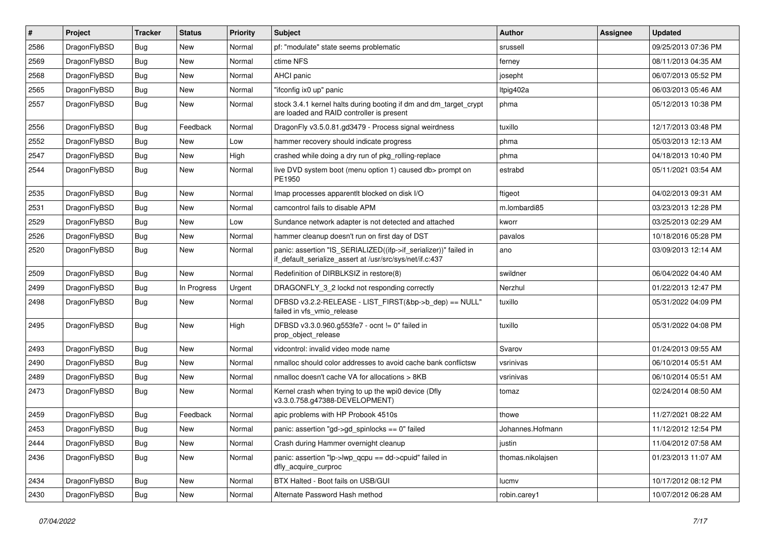| #    | Project      | <b>Tracker</b> | <b>Status</b> | <b>Priority</b> | Subject                                                                                                                      | <b>Author</b>     | <b>Assignee</b> | Updated             |
|------|--------------|----------------|---------------|-----------------|------------------------------------------------------------------------------------------------------------------------------|-------------------|-----------------|---------------------|
| 2586 | DragonFlyBSD | Bug            | <b>New</b>    | Normal          | pf: "modulate" state seems problematic                                                                                       | srussell          |                 | 09/25/2013 07:36 PM |
| 2569 | DragonFlyBSD | <b>Bug</b>     | <b>New</b>    | Normal          | ctime NFS                                                                                                                    | ferney            |                 | 08/11/2013 04:35 AM |
| 2568 | DragonFlyBSD | Bug            | New           | Normal          | AHCI panic                                                                                                                   | josepht           |                 | 06/07/2013 05:52 PM |
| 2565 | DragonFlyBSD | Bug            | New           | Normal          | "ifconfig ix0 up" panic                                                                                                      | Itpig402a         |                 | 06/03/2013 05:46 AM |
| 2557 | DragonFlyBSD | Bug            | <b>New</b>    | Normal          | stock 3.4.1 kernel halts during booting if dm and dm_target_crypt<br>are loaded and RAID controller is present               | phma              |                 | 05/12/2013 10:38 PM |
| 2556 | DragonFlyBSD | Bug            | Feedback      | Normal          | DragonFly v3.5.0.81.gd3479 - Process signal weirdness                                                                        | tuxillo           |                 | 12/17/2013 03:48 PM |
| 2552 | DragonFlyBSD | Bug            | New           | Low             | hammer recovery should indicate progress                                                                                     | phma              |                 | 05/03/2013 12:13 AM |
| 2547 | DragonFlyBSD | Bug            | New           | High            | crashed while doing a dry run of pkg_rolling-replace                                                                         | phma              |                 | 04/18/2013 10:40 PM |
| 2544 | DragonFlyBSD | <b>Bug</b>     | <b>New</b>    | Normal          | live DVD system boot (menu option 1) caused db> prompt on<br>PE1950                                                          | estrabd           |                 | 05/11/2021 03:54 AM |
| 2535 | DragonFlyBSD | Bug            | <b>New</b>    | Normal          | Imap processes apparentlt blocked on disk I/O                                                                                | ftigeot           |                 | 04/02/2013 09:31 AM |
| 2531 | DragonFlyBSD | Bug            | New           | Normal          | camcontrol fails to disable APM                                                                                              | m.lombardi85      |                 | 03/23/2013 12:28 PM |
| 2529 | DragonFlyBSD | Bug            | New           | Low             | Sundance network adapter is not detected and attached                                                                        | kworr             |                 | 03/25/2013 02:29 AM |
| 2526 | DragonFlyBSD | Bug            | New           | Normal          | hammer cleanup doesn't run on first day of DST                                                                               | pavalos           |                 | 10/18/2016 05:28 PM |
| 2520 | DragonFlyBSD | Bug            | <b>New</b>    | Normal          | panic: assertion "IS_SERIALIZED((ifp->if_serializer))" failed in<br>if_default_serialize_assert at /usr/src/sys/net/if.c:437 | ano               |                 | 03/09/2013 12:14 AM |
| 2509 | DragonFlyBSD | <b>Bug</b>     | <b>New</b>    | Normal          | Redefinition of DIRBLKSIZ in restore(8)                                                                                      | swildner          |                 | 06/04/2022 04:40 AM |
| 2499 | DragonFlyBSD | Bug            | In Progress   | Urgent          | DRAGONFLY_3_2 lockd not responding correctly                                                                                 | Nerzhul           |                 | 01/22/2013 12:47 PM |
| 2498 | DragonFlyBSD | Bug            | <b>New</b>    | Normal          | DFBSD v3.2.2-RELEASE - LIST_FIRST(&bp->b_dep) == NULL"<br>failed in vfs_vmio_release                                         | tuxillo           |                 | 05/31/2022 04:09 PM |
| 2495 | DragonFlyBSD | Bug            | New           | High            | DFBSD v3.3.0.960.g553fe7 - ocnt != 0" failed in<br>prop_object_release                                                       | tuxillo           |                 | 05/31/2022 04:08 PM |
| 2493 | DragonFlyBSD | Bug            | <b>New</b>    | Normal          | vidcontrol: invalid video mode name                                                                                          | Svarov            |                 | 01/24/2013 09:55 AM |
| 2490 | DragonFlyBSD | Bug            | <b>New</b>    | Normal          | nmalloc should color addresses to avoid cache bank conflictsw                                                                | vsrinivas         |                 | 06/10/2014 05:51 AM |
| 2489 | DragonFlyBSD | Bug            | New           | Normal          | nmalloc doesn't cache VA for allocations > 8KB                                                                               | vsrinivas         |                 | 06/10/2014 05:51 AM |
| 2473 | DragonFlyBSD | Bug            | New           | Normal          | Kernel crash when trying to up the wpi0 device (Dfly<br>v3.3.0.758.g47388-DEVELOPMENT)                                       | tomaz             |                 | 02/24/2014 08:50 AM |
| 2459 | DragonFlyBSD | Bug            | Feedback      | Normal          | apic problems with HP Probook 4510s                                                                                          | thowe             |                 | 11/27/2021 08:22 AM |
| 2453 | DragonFlyBSD | Bug            | <b>New</b>    | Normal          | panic: assertion "gd->gd spinlocks == $0$ " failed                                                                           | Johannes.Hofmann  |                 | 11/12/2012 12:54 PM |
| 2444 | DragonFlyBSD | <b>Bug</b>     | New           | Normal          | Crash during Hammer overnight cleanup                                                                                        | justin            |                 | 11/04/2012 07:58 AM |
| 2436 | DragonFlyBSD | <b>Bug</b>     | New           | Normal          | panic: assertion "lp->lwp_qcpu == dd->cpuid" failed in<br>dfly_acquire_curproc                                               | thomas.nikolajsen |                 | 01/23/2013 11:07 AM |
| 2434 | DragonFlyBSD | <b>Bug</b>     | <b>New</b>    | Normal          | BTX Halted - Boot fails on USB/GUI                                                                                           | lucmv             |                 | 10/17/2012 08:12 PM |
| 2430 | DragonFlyBSD | <b>Bug</b>     | New           | Normal          | Alternate Password Hash method                                                                                               | robin.carey1      |                 | 10/07/2012 06:28 AM |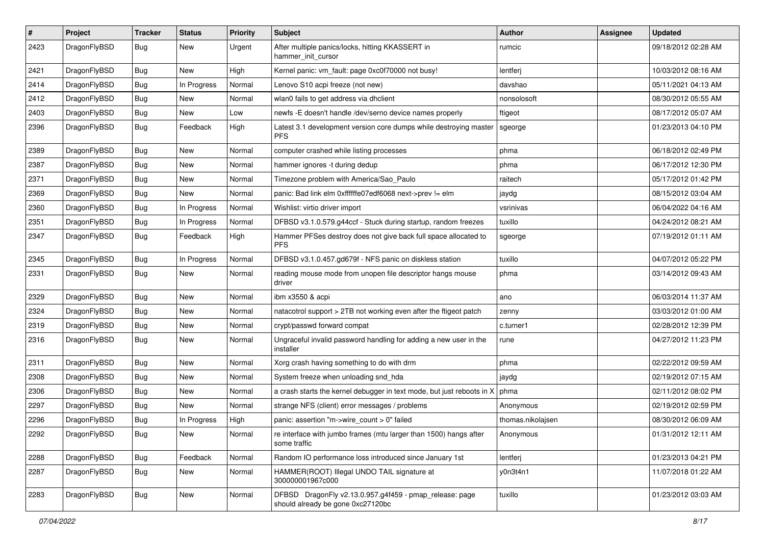| #    | Project      | <b>Tracker</b> | <b>Status</b> | <b>Priority</b> | Subject                                                                                      | <b>Author</b>     | Assignee | <b>Updated</b>      |
|------|--------------|----------------|---------------|-----------------|----------------------------------------------------------------------------------------------|-------------------|----------|---------------------|
| 2423 | DragonFlyBSD | <b>Bug</b>     | New           | Urgent          | After multiple panics/locks, hitting KKASSERT in<br>hammer init cursor                       | rumcic            |          | 09/18/2012 02:28 AM |
| 2421 | DragonFlyBSD | Bug            | New           | High            | Kernel panic: vm_fault: page 0xc0f70000 not busy!                                            | lentferj          |          | 10/03/2012 08:16 AM |
| 2414 | DragonFlyBSD | Bug            | In Progress   | Normal          | Lenovo S10 acpi freeze (not new)                                                             | davshao           |          | 05/11/2021 04:13 AM |
| 2412 | DragonFlyBSD | Bug            | New           | Normal          | wlan0 fails to get address via dhclient                                                      | nonsolosoft       |          | 08/30/2012 05:55 AM |
| 2403 | DragonFlyBSD | Bug            | New           | Low             | newfs -E doesn't handle /dev/serno device names properly                                     | ftigeot           |          | 08/17/2012 05:07 AM |
| 2396 | DragonFlyBSD | <b>Bug</b>     | Feedback      | High            | Latest 3.1 development version core dumps while destroying master<br><b>PFS</b>              | sgeorge           |          | 01/23/2013 04:10 PM |
| 2389 | DragonFlyBSD | Bug            | New           | Normal          | computer crashed while listing processes                                                     | phma              |          | 06/18/2012 02:49 PM |
| 2387 | DragonFlyBSD | Bug            | <b>New</b>    | Normal          | hammer ignores -t during dedup                                                               | phma              |          | 06/17/2012 12:30 PM |
| 2371 | DragonFlyBSD | Bug            | New           | Normal          | Timezone problem with America/Sao_Paulo                                                      | raitech           |          | 05/17/2012 01:42 PM |
| 2369 | DragonFlyBSD | Bug            | New           | Normal          | panic: Bad link elm 0xffffffe07edf6068 next->prev != elm                                     | jaydg             |          | 08/15/2012 03:04 AM |
| 2360 | DragonFlyBSD | Bug            | In Progress   | Normal          | Wishlist: virtio driver import                                                               | vsrinivas         |          | 06/04/2022 04:16 AM |
| 2351 | DragonFlyBSD | Bug            | In Progress   | Normal          | DFBSD v3.1.0.579.g44ccf - Stuck during startup, random freezes                               | tuxillo           |          | 04/24/2012 08:21 AM |
| 2347 | DragonFlyBSD | <b>Bug</b>     | Feedback      | High            | Hammer PFSes destroy does not give back full space allocated to<br><b>PFS</b>                | sgeorge           |          | 07/19/2012 01:11 AM |
| 2345 | DragonFlyBSD | <b>Bug</b>     | In Progress   | Normal          | DFBSD v3.1.0.457.gd679f - NFS panic on diskless station                                      | tuxillo           |          | 04/07/2012 05:22 PM |
| 2331 | DragonFlyBSD | Bug            | New           | Normal          | reading mouse mode from unopen file descriptor hangs mouse<br>driver                         | phma              |          | 03/14/2012 09:43 AM |
| 2329 | DragonFlyBSD | <b>Bug</b>     | New           | Normal          | ibm x3550 & acpi                                                                             | ano               |          | 06/03/2014 11:37 AM |
| 2324 | DragonFlyBSD | <b>Bug</b>     | New           | Normal          | natacotrol support > 2TB not working even after the ftigeot patch                            | zenny             |          | 03/03/2012 01:00 AM |
| 2319 | DragonFlyBSD | <b>Bug</b>     | <b>New</b>    | Normal          | crypt/passwd forward compat                                                                  | c.turner1         |          | 02/28/2012 12:39 PM |
| 2316 | DragonFlyBSD | <b>Bug</b>     | New           | Normal          | Ungraceful invalid password handling for adding a new user in the<br>installer               | rune              |          | 04/27/2012 11:23 PM |
| 2311 | DragonFlyBSD | Bug            | New           | Normal          | Xorg crash having something to do with drm                                                   | phma              |          | 02/22/2012 09:59 AM |
| 2308 | DragonFlyBSD | Bug            | New           | Normal          | System freeze when unloading snd_hda                                                         | jaydg             |          | 02/19/2012 07:15 AM |
| 2306 | DragonFlyBSD | Bug            | New           | Normal          | a crash starts the kernel debugger in text mode, but just reboots in X                       | phma              |          | 02/11/2012 08:02 PM |
| 2297 | DragonFlyBSD | <b>Bug</b>     | New           | Normal          | strange NFS (client) error messages / problems                                               | Anonymous         |          | 02/19/2012 02:59 PM |
| 2296 | DragonFlyBSD | <b>Bug</b>     | In Progress   | High            | panic: assertion "m->wire_count > 0" failed                                                  | thomas.nikolajsen |          | 08/30/2012 06:09 AM |
| 2292 | DragonFlyBSD | <b>Bug</b>     | New           | Normal          | re interface with jumbo frames (mtu larger than 1500) hangs after<br>some traffic            | Anonymous         |          | 01/31/2012 12:11 AM |
| 2288 | DragonFlyBSD | Bug            | Feedback      | Normal          | Random IO performance loss introduced since January 1st                                      | lentferj          |          | 01/23/2013 04:21 PM |
| 2287 | DragonFlyBSD | <b>Bug</b>     | New           | Normal          | HAMMER(ROOT) Illegal UNDO TAIL signature at<br>300000001967c000                              | y0n3t4n1          |          | 11/07/2018 01:22 AM |
| 2283 | DragonFlyBSD | <b>Bug</b>     | New           | Normal          | DFBSD DragonFly v2.13.0.957.g4f459 - pmap_release: page<br>should already be gone 0xc27120bc | tuxillo           |          | 01/23/2012 03:03 AM |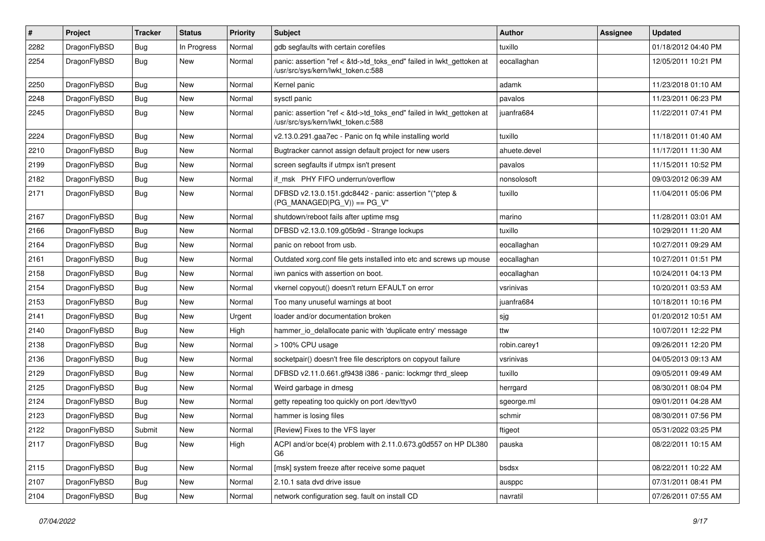| #    | Project      | <b>Tracker</b> | <b>Status</b> | <b>Priority</b> | Subject                                                                                                    | <b>Author</b> | Assignee | <b>Updated</b>      |
|------|--------------|----------------|---------------|-----------------|------------------------------------------------------------------------------------------------------------|---------------|----------|---------------------|
| 2282 | DragonFlyBSD | <b>Bug</b>     | In Progress   | Normal          | gdb segfaults with certain corefiles                                                                       | tuxillo       |          | 01/18/2012 04:40 PM |
| 2254 | DragonFlyBSD | Bug            | <b>New</b>    | Normal          | panic: assertion "ref < &td->td_toks_end" failed in lwkt_gettoken at<br>/usr/src/sys/kern/lwkt_token.c:588 | eocallaghan   |          | 12/05/2011 10:21 PM |
| 2250 | DragonFlyBSD | Bug            | New           | Normal          | Kernel panic                                                                                               | adamk         |          | 11/23/2018 01:10 AM |
| 2248 | DragonFlyBSD | <b>Bug</b>     | New           | Normal          | sysctl panic                                                                                               | pavalos       |          | 11/23/2011 06:23 PM |
| 2245 | DragonFlyBSD | <b>Bug</b>     | <b>New</b>    | Normal          | panic: assertion "ref < &td->td_toks_end" failed in lwkt_gettoken at<br>/usr/src/sys/kern/lwkt_token.c:588 | juanfra684    |          | 11/22/2011 07:41 PM |
| 2224 | DragonFlyBSD | <b>Bug</b>     | New           | Normal          | v2.13.0.291.gaa7ec - Panic on fq while installing world                                                    | tuxillo       |          | 11/18/2011 01:40 AM |
| 2210 | DragonFlyBSD | <b>Bug</b>     | New           | Normal          | Bugtracker cannot assign default project for new users                                                     | ahuete.devel  |          | 11/17/2011 11:30 AM |
| 2199 | DragonFlyBSD | Bug            | New           | Normal          | screen segfaults if utmpx isn't present                                                                    | pavalos       |          | 11/15/2011 10:52 PM |
| 2182 | DragonFlyBSD | Bug            | New           | Normal          | if msk PHY FIFO underrun/overflow                                                                          | nonsolosoft   |          | 09/03/2012 06:39 AM |
| 2171 | DragonFlyBSD | <b>Bug</b>     | <b>New</b>    | Normal          | DFBSD v2.13.0.151.gdc8442 - panic: assertion "(*ptep &<br>$(PG_MANAGED PG_V)$ == PG_V"                     | tuxillo       |          | 11/04/2011 05:06 PM |
| 2167 | DragonFlyBSD | Bug            | <b>New</b>    | Normal          | shutdown/reboot fails after uptime msg                                                                     | marino        |          | 11/28/2011 03:01 AM |
| 2166 | DragonFlyBSD | <b>Bug</b>     | New           | Normal          | DFBSD v2.13.0.109.g05b9d - Strange lockups                                                                 | tuxillo       |          | 10/29/2011 11:20 AM |
| 2164 | DragonFlyBSD | Bug            | <b>New</b>    | Normal          | panic on reboot from usb.                                                                                  | eocallaghan   |          | 10/27/2011 09:29 AM |
| 2161 | DragonFlyBSD | <b>Bug</b>     | New           | Normal          | Outdated xorg.conf file gets installed into etc and screws up mouse                                        | eocallaghan   |          | 10/27/2011 01:51 PM |
| 2158 | DragonFlyBSD | Bug            | New           | Normal          | iwn panics with assertion on boot.                                                                         | eocallaghan   |          | 10/24/2011 04:13 PM |
| 2154 | DragonFlyBSD | <b>Bug</b>     | New           | Normal          | vkernel copyout() doesn't return EFAULT on error                                                           | vsrinivas     |          | 10/20/2011 03:53 AM |
| 2153 | DragonFlyBSD | <b>Bug</b>     | <b>New</b>    | Normal          | Too many unuseful warnings at boot                                                                         | juanfra684    |          | 10/18/2011 10:16 PM |
| 2141 | DragonFlyBSD | Bug            | <b>New</b>    | Urgent          | loader and/or documentation broken                                                                         | sjg           |          | 01/20/2012 10:51 AM |
| 2140 | DragonFlyBSD | <b>Bug</b>     | New           | High            | hammer io delallocate panic with 'duplicate entry' message                                                 | ttw           |          | 10/07/2011 12:22 PM |
| 2138 | DragonFlyBSD | Bug            | New           | Normal          | > 100% CPU usage                                                                                           | robin.carey1  |          | 09/26/2011 12:20 PM |
| 2136 | DragonFlyBSD | Bug            | New           | Normal          | socketpair() doesn't free file descriptors on copyout failure                                              | vsrinivas     |          | 04/05/2013 09:13 AM |
| 2129 | DragonFlyBSD | Bug            | New           | Normal          | DFBSD v2.11.0.661.gf9438 i386 - panic: lockmgr thrd sleep                                                  | tuxillo       |          | 09/05/2011 09:49 AM |
| 2125 | DragonFlyBSD | Bug            | New           | Normal          | Weird garbage in dmesg                                                                                     | herrgard      |          | 08/30/2011 08:04 PM |
| 2124 | DragonFlyBSD | Bug            | <b>New</b>    | Normal          | getty repeating too quickly on port /dev/ttyv0                                                             | sgeorge.ml    |          | 09/01/2011 04:28 AM |
| 2123 | DragonFlyBSD | Bug            | New           | Normal          | hammer is losing files                                                                                     | schmir        |          | 08/30/2011 07:56 PM |
| 2122 | DragonFlyBSD | Submit         | New           | Normal          | [Review] Fixes to the VFS layer                                                                            | ftigeot       |          | 05/31/2022 03:25 PM |
| 2117 | DragonFlyBSD | <b>Bug</b>     | New           | High            | ACPI and/or bce(4) problem with 2.11.0.673.g0d557 on HP DL380<br>G6                                        | pauska        |          | 08/22/2011 10:15 AM |
| 2115 | DragonFlyBSD | <b>Bug</b>     | New           | Normal          | [msk] system freeze after receive some paquet                                                              | bsdsx         |          | 08/22/2011 10:22 AM |
| 2107 | DragonFlyBSD | <b>Bug</b>     | New           | Normal          | 2.10.1 sata dvd drive issue                                                                                | ausppc        |          | 07/31/2011 08:41 PM |
| 2104 | DragonFlyBSD | <b>Bug</b>     | New           | Normal          | network configuration seg. fault on install CD                                                             | navratil      |          | 07/26/2011 07:55 AM |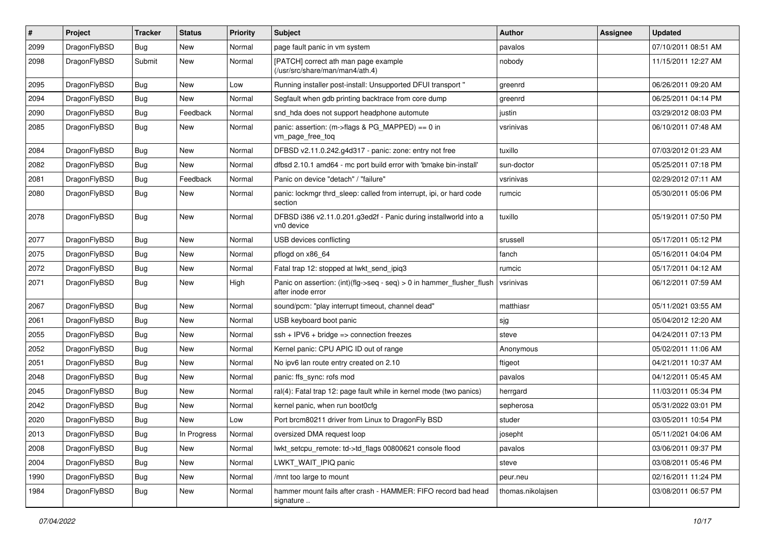| $\sharp$ | Project      | <b>Tracker</b> | <b>Status</b> | <b>Priority</b> | Subject                                                                                    | <b>Author</b>     | Assignee | <b>Updated</b>      |
|----------|--------------|----------------|---------------|-----------------|--------------------------------------------------------------------------------------------|-------------------|----------|---------------------|
| 2099     | DragonFlyBSD | Bug            | <b>New</b>    | Normal          | page fault panic in vm system                                                              | pavalos           |          | 07/10/2011 08:51 AM |
| 2098     | DragonFlyBSD | Submit         | <b>New</b>    | Normal          | [PATCH] correct ath man page example<br>(/usr/src/share/man/man4/ath.4)                    | nobody            |          | 11/15/2011 12:27 AM |
| 2095     | DragonFlyBSD | Bug            | New           | Low             | Running installer post-install: Unsupported DFUI transport "                               | greenrd           |          | 06/26/2011 09:20 AM |
| 2094     | DragonFlyBSD | Bug            | New           | Normal          | Segfault when gdb printing backtrace from core dump                                        | greenrd           |          | 06/25/2011 04:14 PM |
| 2090     | DragonFlyBSD | Bug            | Feedback      | Normal          | snd_hda does not support headphone automute                                                | justin            |          | 03/29/2012 08:03 PM |
| 2085     | DragonFlyBSD | <b>Bug</b>     | New           | Normal          | panic: assertion: (m->flags & PG_MAPPED) == 0 in<br>vm_page_free_toq                       | vsrinivas         |          | 06/10/2011 07:48 AM |
| 2084     | DragonFlyBSD | Bug            | New           | Normal          | DFBSD v2.11.0.242.g4d317 - panic: zone: entry not free                                     | tuxillo           |          | 07/03/2012 01:23 AM |
| 2082     | DragonFlyBSD | Bug            | New           | Normal          | dfbsd 2.10.1 amd64 - mc port build error with 'bmake bin-install'                          | sun-doctor        |          | 05/25/2011 07:18 PM |
| 2081     | DragonFlyBSD | Bug            | Feedback      | Normal          | Panic on device "detach" / "failure"                                                       | vsrinivas         |          | 02/29/2012 07:11 AM |
| 2080     | DragonFlyBSD | <b>Bug</b>     | New           | Normal          | panic: lockmgr thrd_sleep: called from interrupt, ipi, or hard code<br>section             | rumcic            |          | 05/30/2011 05:06 PM |
| 2078     | DragonFlyBSD | Bug            | New           | Normal          | DFBSD i386 v2.11.0.201.g3ed2f - Panic during installworld into a<br>vn0 device             | tuxillo           |          | 05/19/2011 07:50 PM |
| 2077     | DragonFlyBSD | Bug            | New           | Normal          | USB devices conflicting                                                                    | srussell          |          | 05/17/2011 05:12 PM |
| 2075     | DragonFlyBSD | Bug            | New           | Normal          | pflogd on x86 64                                                                           | fanch             |          | 05/16/2011 04:04 PM |
| 2072     | DragonFlyBSD | Bug            | <b>New</b>    | Normal          | Fatal trap 12: stopped at lwkt_send_ipiq3                                                  | rumcic            |          | 05/17/2011 04:12 AM |
| 2071     | DragonFlyBSD | <b>Bug</b>     | New           | High            | Panic on assertion: (int)(flg->seq - seq) > 0 in hammer_flusher_flush<br>after inode error | vsrinivas         |          | 06/12/2011 07:59 AM |
| 2067     | DragonFlyBSD | Bug            | New           | Normal          | sound/pcm: "play interrupt timeout, channel dead"                                          | matthiasr         |          | 05/11/2021 03:55 AM |
| 2061     | DragonFlyBSD | Bug            | New           | Normal          | USB keyboard boot panic                                                                    | sjg               |          | 05/04/2012 12:20 AM |
| 2055     | DragonFlyBSD | Bug            | <b>New</b>    | Normal          | $ssh + IPV6 + bridge \Rightarrow connection freezes$                                       | steve             |          | 04/24/2011 07:13 PM |
| 2052     | DragonFlyBSD | Bug            | <b>New</b>    | Normal          | Kernel panic: CPU APIC ID out of range                                                     | Anonymous         |          | 05/02/2011 11:06 AM |
| 2051     | DragonFlyBSD | Bug            | New           | Normal          | No ipv6 lan route entry created on 2.10                                                    | ftigeot           |          | 04/21/2011 10:37 AM |
| 2048     | DragonFlyBSD | Bug            | New           | Normal          | panic: ffs_sync: rofs mod                                                                  | pavalos           |          | 04/12/2011 05:45 AM |
| 2045     | DragonFlyBSD | Bug            | New           | Normal          | ral(4): Fatal trap 12: page fault while in kernel mode (two panics)                        | herrgard          |          | 11/03/2011 05:34 PM |
| 2042     | DragonFlyBSD | Bug            | <b>New</b>    | Normal          | kernel panic, when run boot0cfg                                                            | sepherosa         |          | 05/31/2022 03:01 PM |
| 2020     | DragonFlyBSD | <b>Bug</b>     | <b>New</b>    | Low             | Port brcm80211 driver from Linux to DragonFly BSD                                          | studer            |          | 03/05/2011 10:54 PM |
| 2013     | DragonFlyBSD | <b>Bug</b>     | In Progress   | Normal          | oversized DMA request loop                                                                 | josepht           |          | 05/11/2021 04:06 AM |
| 2008     | DragonFlyBSD | <b>Bug</b>     | <b>New</b>    | Normal          | lwkt_setcpu_remote: td->td_flags 00800621 console flood                                    | pavalos           |          | 03/06/2011 09:37 PM |
| 2004     | DragonFlyBSD | <b>Bug</b>     | <b>New</b>    | Normal          | LWKT_WAIT_IPIQ panic                                                                       | steve             |          | 03/08/2011 05:46 PM |
| 1990     | DragonFlyBSD | Bug            | New           | Normal          | /mnt too large to mount                                                                    | peur.neu          |          | 02/16/2011 11:24 PM |
| 1984     | DragonFlyBSD | <b>Bug</b>     | New           | Normal          | hammer mount fails after crash - HAMMER: FIFO record bad head<br>signature                 | thomas.nikolajsen |          | 03/08/2011 06:57 PM |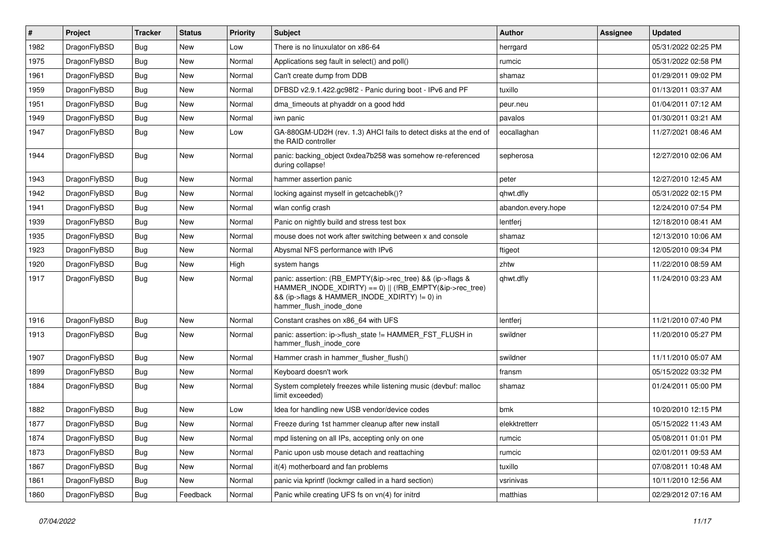| $\vert$ # | Project      | <b>Tracker</b> | <b>Status</b> | <b>Priority</b> | Subject                                                                                                                                                                                           | <b>Author</b>      | Assignee | <b>Updated</b>      |
|-----------|--------------|----------------|---------------|-----------------|---------------------------------------------------------------------------------------------------------------------------------------------------------------------------------------------------|--------------------|----------|---------------------|
| 1982      | DragonFlyBSD | <b>Bug</b>     | New           | Low             | There is no linuxulator on x86-64                                                                                                                                                                 | herrgard           |          | 05/31/2022 02:25 PM |
| 1975      | DragonFlyBSD | Bug            | New           | Normal          | Applications seg fault in select() and poll()                                                                                                                                                     | rumcic             |          | 05/31/2022 02:58 PM |
| 1961      | DragonFlyBSD | <b>Bug</b>     | New           | Normal          | Can't create dump from DDB                                                                                                                                                                        | shamaz             |          | 01/29/2011 09:02 PM |
| 1959      | DragonFlyBSD | <b>Bug</b>     | New           | Normal          | DFBSD v2.9.1.422.gc98f2 - Panic during boot - IPv6 and PF                                                                                                                                         | tuxillo            |          | 01/13/2011 03:37 AM |
| 1951      | DragonFlyBSD | <b>Bug</b>     | <b>New</b>    | Normal          | dma timeouts at phyaddr on a good hdd                                                                                                                                                             | peur.neu           |          | 01/04/2011 07:12 AM |
| 1949      | DragonFlyBSD | <b>Bug</b>     | New           | Normal          | iwn panic                                                                                                                                                                                         | pavalos            |          | 01/30/2011 03:21 AM |
| 1947      | DragonFlyBSD | Bug            | New           | Low             | GA-880GM-UD2H (rev. 1.3) AHCI fails to detect disks at the end of<br>the RAID controller                                                                                                          | eocallaghan        |          | 11/27/2021 08:46 AM |
| 1944      | DragonFlyBSD | Bug            | New           | Normal          | panic: backing object 0xdea7b258 was somehow re-referenced<br>during collapse!                                                                                                                    | sepherosa          |          | 12/27/2010 02:06 AM |
| 1943      | DragonFlyBSD | Bug            | New           | Normal          | hammer assertion panic                                                                                                                                                                            | peter              |          | 12/27/2010 12:45 AM |
| 1942      | DragonFlyBSD | <b>Bug</b>     | New           | Normal          | locking against myself in getcacheblk()?                                                                                                                                                          | qhwt.dfly          |          | 05/31/2022 02:15 PM |
| 1941      | DragonFlyBSD | <b>Bug</b>     | New           | Normal          | wlan config crash                                                                                                                                                                                 | abandon.every.hope |          | 12/24/2010 07:54 PM |
| 1939      | DragonFlyBSD | <b>Bug</b>     | New           | Normal          | Panic on nightly build and stress test box                                                                                                                                                        | lentferj           |          | 12/18/2010 08:41 AM |
| 1935      | DragonFlyBSD | <b>Bug</b>     | <b>New</b>    | Normal          | mouse does not work after switching between x and console                                                                                                                                         | shamaz             |          | 12/13/2010 10:06 AM |
| 1923      | DragonFlyBSD | <b>Bug</b>     | New           | Normal          | Abysmal NFS performance with IPv6                                                                                                                                                                 | ftigeot            |          | 12/05/2010 09:34 PM |
| 1920      | DragonFlyBSD | <b>Bug</b>     | New           | High            | system hangs                                                                                                                                                                                      | zhtw               |          | 11/22/2010 08:59 AM |
| 1917      | DragonFlyBSD | <b>Bug</b>     | New           | Normal          | panic: assertion: (RB_EMPTY(&ip->rec_tree) && (ip->flags &<br>HAMMER_INODE_XDIRTY) == 0)    (!RB_EMPTY(&ip->rec_tree)<br>&& (ip->flags & HAMMER_INODE_XDIRTY) != 0) in<br>hammer_flush_inode_done | qhwt.dfly          |          | 11/24/2010 03:23 AM |
| 1916      | DragonFlyBSD | Bug            | New           | Normal          | Constant crashes on x86_64 with UFS                                                                                                                                                               | lentferj           |          | 11/21/2010 07:40 PM |
| 1913      | DragonFlyBSD | Bug            | New           | Normal          | panic: assertion: ip->flush_state != HAMMER_FST_FLUSH in<br>hammer_flush_inode_core                                                                                                               | swildner           |          | 11/20/2010 05:27 PM |
| 1907      | DragonFlyBSD | <b>Bug</b>     | New           | Normal          | Hammer crash in hammer_flusher_flush()                                                                                                                                                            | swildner           |          | 11/11/2010 05:07 AM |
| 1899      | DragonFlyBSD | Bug            | New           | Normal          | Keyboard doesn't work                                                                                                                                                                             | fransm             |          | 05/15/2022 03:32 PM |
| 1884      | DragonFlyBSD | Bug            | New           | Normal          | System completely freezes while listening music (devbuf: malloc<br>limit exceeded)                                                                                                                | shamaz             |          | 01/24/2011 05:00 PM |
| 1882      | DragonFlyBSD | <b>Bug</b>     | <b>New</b>    | Low             | Idea for handling new USB vendor/device codes                                                                                                                                                     | bmk                |          | 10/20/2010 12:15 PM |
| 1877      | DragonFlyBSD | Bug            | New           | Normal          | Freeze during 1st hammer cleanup after new install                                                                                                                                                | elekktretterr      |          | 05/15/2022 11:43 AM |
| 1874      | DragonFlyBSD | Bug            | New           | Normal          | mpd listening on all IPs, accepting only on one                                                                                                                                                   | rumcic             |          | 05/08/2011 01:01 PM |
| 1873      | DragonFlyBSD | Bug            | New           | Normal          | Panic upon usb mouse detach and reattaching                                                                                                                                                       | rumcic             |          | 02/01/2011 09:53 AM |
| 1867      | DragonFlyBSD | Bug            | New           | Normal          | it(4) motherboard and fan problems                                                                                                                                                                | tuxillo            |          | 07/08/2011 10:48 AM |
| 1861      | DragonFlyBSD | Bug            | New           | Normal          | panic via kprintf (lockmgr called in a hard section)                                                                                                                                              | vsrinivas          |          | 10/11/2010 12:56 AM |
| 1860      | DragonFlyBSD | <b>Bug</b>     | Feedback      | Normal          | Panic while creating UFS fs on vn(4) for initrd                                                                                                                                                   | matthias           |          | 02/29/2012 07:16 AM |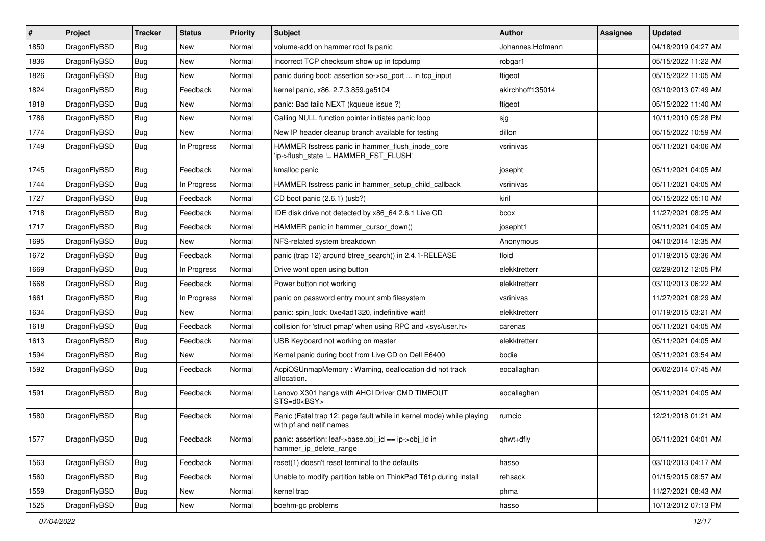| $\vert$ # | Project      | <b>Tracker</b> | <b>Status</b> | <b>Priority</b> | <b>Subject</b>                                                                                  | <b>Author</b>    | Assignee | <b>Updated</b>      |
|-----------|--------------|----------------|---------------|-----------------|-------------------------------------------------------------------------------------------------|------------------|----------|---------------------|
| 1850      | DragonFlyBSD | Bug            | <b>New</b>    | Normal          | volume-add on hammer root fs panic                                                              | Johannes.Hofmann |          | 04/18/2019 04:27 AM |
| 1836      | DragonFlyBSD | <b>Bug</b>     | <b>New</b>    | Normal          | Incorrect TCP checksum show up in tcpdump                                                       | robgar1          |          | 05/15/2022 11:22 AM |
| 1826      | DragonFlyBSD | <b>Bug</b>     | New           | Normal          | panic during boot: assertion so->so_port  in tcp_input                                          | ftigeot          |          | 05/15/2022 11:05 AM |
| 1824      | DragonFlyBSD | Bug            | Feedback      | Normal          | kernel panic, x86, 2.7.3.859.ge5104                                                             | akirchhoff135014 |          | 03/10/2013 07:49 AM |
| 1818      | DragonFlyBSD | <b>Bug</b>     | <b>New</b>    | Normal          | panic: Bad tailq NEXT (kqueue issue ?)                                                          | ftigeot          |          | 05/15/2022 11:40 AM |
| 1786      | DragonFlyBSD | Bug            | <b>New</b>    | Normal          | Calling NULL function pointer initiates panic loop                                              | sjg              |          | 10/11/2010 05:28 PM |
| 1774      | DragonFlyBSD | Bug            | <b>New</b>    | Normal          | New IP header cleanup branch available for testing                                              | dillon           |          | 05/15/2022 10:59 AM |
| 1749      | DragonFlyBSD | Bug            | In Progress   | Normal          | HAMMER fsstress panic in hammer_flush_inode_core<br>'ip->flush_state != HAMMER_FST_FLUSH'       | vsrinivas        |          | 05/11/2021 04:06 AM |
| 1745      | DragonFlyBSD | Bug            | Feedback      | Normal          | kmalloc panic                                                                                   | josepht          |          | 05/11/2021 04:05 AM |
| 1744      | DragonFlyBSD | <b>Bug</b>     | In Progress   | Normal          | HAMMER fsstress panic in hammer_setup_child_callback                                            | vsrinivas        |          | 05/11/2021 04:05 AM |
| 1727      | DragonFlyBSD | Bug            | Feedback      | Normal          | CD boot panic (2.6.1) (usb?)                                                                    | kiril            |          | 05/15/2022 05:10 AM |
| 1718      | DragonFlyBSD | <b>Bug</b>     | Feedback      | Normal          | IDE disk drive not detected by x86_64 2.6.1 Live CD                                             | bcox             |          | 11/27/2021 08:25 AM |
| 1717      | DragonFlyBSD | <b>Bug</b>     | Feedback      | Normal          | HAMMER panic in hammer cursor down()                                                            | josepht1         |          | 05/11/2021 04:05 AM |
| 1695      | DragonFlyBSD | <b>Bug</b>     | <b>New</b>    | Normal          | NFS-related system breakdown                                                                    | Anonymous        |          | 04/10/2014 12:35 AM |
| 1672      | DragonFlyBSD | <b>Bug</b>     | Feedback      | Normal          | panic (trap 12) around btree_search() in 2.4.1-RELEASE                                          | floid            |          | 01/19/2015 03:36 AM |
| 1669      | DragonFlyBSD | Bug            | In Progress   | Normal          | Drive wont open using button                                                                    | elekktretterr    |          | 02/29/2012 12:05 PM |
| 1668      | DragonFlyBSD | <b>Bug</b>     | Feedback      | Normal          | Power button not working                                                                        | elekktretterr    |          | 03/10/2013 06:22 AM |
| 1661      | DragonFlyBSD | <b>Bug</b>     | In Progress   | Normal          | panic on password entry mount smb filesystem                                                    | vsrinivas        |          | 11/27/2021 08:29 AM |
| 1634      | DragonFlyBSD | Bug            | <b>New</b>    | Normal          | panic: spin_lock: 0xe4ad1320, indefinitive wait!                                                | elekktretterr    |          | 01/19/2015 03:21 AM |
| 1618      | DragonFlyBSD | <b>Bug</b>     | Feedback      | Normal          | collision for 'struct pmap' when using RPC and <sys user.h=""></sys>                            | carenas          |          | 05/11/2021 04:05 AM |
| 1613      | DragonFlyBSD | <b>Bug</b>     | Feedback      | Normal          | USB Keyboard not working on master                                                              | elekktretterr    |          | 05/11/2021 04:05 AM |
| 1594      | DragonFlyBSD | <b>Bug</b>     | <b>New</b>    | Normal          | Kernel panic during boot from Live CD on Dell E6400                                             | bodie            |          | 05/11/2021 03:54 AM |
| 1592      | DragonFlyBSD | <b>Bug</b>     | Feedback      | Normal          | AcpiOSUnmapMemory: Warning, deallocation did not track<br>allocation.                           | eocallaghan      |          | 06/02/2014 07:45 AM |
| 1591      | DragonFlyBSD | <b>Bug</b>     | Feedback      | Normal          | Lenovo X301 hangs with AHCI Driver CMD TIMEOUT<br>STS=d0 <bsy></bsy>                            | eocallaghan      |          | 05/11/2021 04:05 AM |
| 1580      | DragonFlyBSD | Bug            | Feedback      | Normal          | Panic (Fatal trap 12: page fault while in kernel mode) while playing<br>with pf and netif names | rumcic           |          | 12/21/2018 01:21 AM |
| 1577      | DragonFlyBSD | <b>Bug</b>     | Feedback      | Normal          | panic: assertion: leaf->base.obj_id == ip->obj_id in<br>hammer_ip_delete_range                  | qhwt+dfly        |          | 05/11/2021 04:01 AM |
| 1563      | DragonFlyBSD | <b>Bug</b>     | Feedback      | Normal          | reset(1) doesn't reset terminal to the defaults                                                 | hasso            |          | 03/10/2013 04:17 AM |
| 1560      | DragonFlyBSD | <b>Bug</b>     | Feedback      | Normal          | Unable to modify partition table on ThinkPad T61p during install                                | rehsack          |          | 01/15/2015 08:57 AM |
| 1559      | DragonFlyBSD | <b>Bug</b>     | New           | Normal          | kernel trap                                                                                     | phma             |          | 11/27/2021 08:43 AM |
| 1525      | DragonFlyBSD | <b>Bug</b>     | New           | Normal          | boehm-gc problems                                                                               | hasso            |          | 10/13/2012 07:13 PM |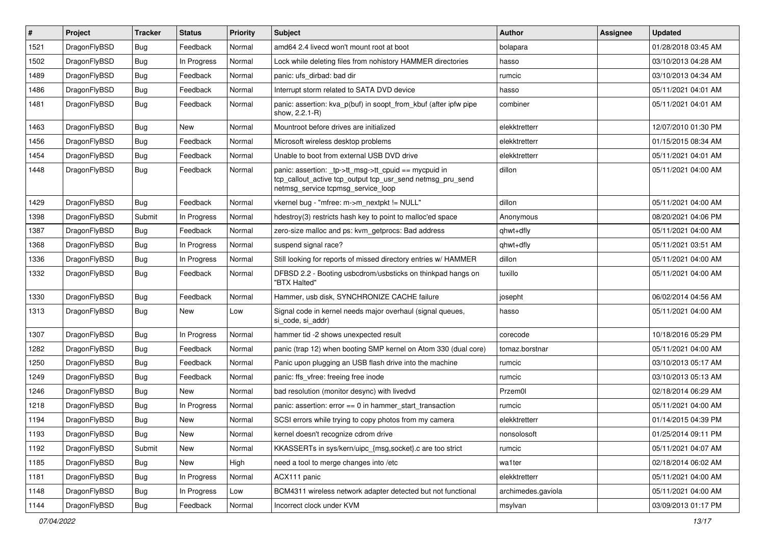| $\#$ | Project      | <b>Tracker</b> | <b>Status</b> | <b>Priority</b> | <b>Subject</b>                                                                                                                                            | <b>Author</b>      | Assignee | <b>Updated</b>      |
|------|--------------|----------------|---------------|-----------------|-----------------------------------------------------------------------------------------------------------------------------------------------------------|--------------------|----------|---------------------|
| 1521 | DragonFlyBSD | <b>Bug</b>     | Feedback      | Normal          | amd64 2.4 livecd won't mount root at boot                                                                                                                 | bolapara           |          | 01/28/2018 03:45 AM |
| 1502 | DragonFlyBSD | <b>Bug</b>     | In Progress   | Normal          | Lock while deleting files from nohistory HAMMER directories                                                                                               | hasso              |          | 03/10/2013 04:28 AM |
| 1489 | DragonFlyBSD | <b>Bug</b>     | Feedback      | Normal          | panic: ufs dirbad: bad dir                                                                                                                                | rumcic             |          | 03/10/2013 04:34 AM |
| 1486 | DragonFlyBSD | Bug            | Feedback      | Normal          | Interrupt storm related to SATA DVD device                                                                                                                | hasso              |          | 05/11/2021 04:01 AM |
| 1481 | DragonFlyBSD | Bug            | Feedback      | Normal          | panic: assertion: kva_p(buf) in soopt_from_kbuf (after ipfw pipe<br>show, 2.2.1-R)                                                                        | combiner           |          | 05/11/2021 04:01 AM |
| 1463 | DragonFlyBSD | Bug            | <b>New</b>    | Normal          | Mountroot before drives are initialized                                                                                                                   | elekktretterr      |          | 12/07/2010 01:30 PM |
| 1456 | DragonFlyBSD | Bug            | Feedback      | Normal          | Microsoft wireless desktop problems                                                                                                                       | elekktretterr      |          | 01/15/2015 08:34 AM |
| 1454 | DragonFlyBSD | Bug            | Feedback      | Normal          | Unable to boot from external USB DVD drive                                                                                                                | elekktretterr      |          | 05/11/2021 04:01 AM |
| 1448 | DragonFlyBSD | Bug            | Feedback      | Normal          | panic: assertion: _tp->tt_msg->tt_cpuid == mycpuid in<br>tcp_callout_active tcp_output tcp_usr_send netmsg_pru_send<br>netmsg_service tcpmsg_service_loop | dillon             |          | 05/11/2021 04:00 AM |
| 1429 | DragonFlyBSD | <b>Bug</b>     | Feedback      | Normal          | vkernel bug - "mfree: m->m_nextpkt != NULL"                                                                                                               | dillon             |          | 05/11/2021 04:00 AM |
| 1398 | DragonFlyBSD | Submit         | In Progress   | Normal          | hdestroy(3) restricts hash key to point to malloc'ed space                                                                                                | Anonymous          |          | 08/20/2021 04:06 PM |
| 1387 | DragonFlyBSD | Bug            | Feedback      | Normal          | zero-size malloc and ps: kvm_getprocs: Bad address                                                                                                        | qhwt+dfly          |          | 05/11/2021 04:00 AM |
| 1368 | DragonFlyBSD | Bug            | In Progress   | Normal          | suspend signal race?                                                                                                                                      | qhwt+dfly          |          | 05/11/2021 03:51 AM |
| 1336 | DragonFlyBSD | Bug            | In Progress   | Normal          | Still looking for reports of missed directory entries w/ HAMMER                                                                                           | dillon             |          | 05/11/2021 04:00 AM |
| 1332 | DragonFlyBSD | Bug            | Feedback      | Normal          | DFBSD 2.2 - Booting usbcdrom/usbsticks on thinkpad hangs on<br>"BTX Halted"                                                                               | tuxillo            |          | 05/11/2021 04:00 AM |
| 1330 | DragonFlyBSD | Bug            | Feedback      | Normal          | Hammer, usb disk, SYNCHRONIZE CACHE failure                                                                                                               | josepht            |          | 06/02/2014 04:56 AM |
| 1313 | DragonFlyBSD | Bug            | New           | Low             | Signal code in kernel needs major overhaul (signal queues,<br>si code, si addr)                                                                           | hasso              |          | 05/11/2021 04:00 AM |
| 1307 | DragonFlyBSD | <b>Bug</b>     | In Progress   | Normal          | hammer tid -2 shows unexpected result                                                                                                                     | corecode           |          | 10/18/2016 05:29 PM |
| 1282 | DragonFlyBSD | Bug            | Feedback      | Normal          | panic (trap 12) when booting SMP kernel on Atom 330 (dual core)                                                                                           | tomaz.borstnar     |          | 05/11/2021 04:00 AM |
| 1250 | DragonFlyBSD | <b>Bug</b>     | Feedback      | Normal          | Panic upon plugging an USB flash drive into the machine                                                                                                   | rumcic             |          | 03/10/2013 05:17 AM |
| 1249 | DragonFlyBSD | <b>Bug</b>     | Feedback      | Normal          | panic: ffs vfree: freeing free inode                                                                                                                      | rumcic             |          | 03/10/2013 05:13 AM |
| 1246 | DragonFlyBSD | Bug            | New           | Normal          | bad resolution (monitor desync) with livedvd                                                                                                              | Przem0l            |          | 02/18/2014 06:29 AM |
| 1218 | DragonFlyBSD | Bug            | In Progress   | Normal          | panic: assertion: error == 0 in hammer_start_transaction                                                                                                  | rumcic             |          | 05/11/2021 04:00 AM |
| 1194 | DragonFlyBSD | Bug            | New           | Normal          | SCSI errors while trying to copy photos from my camera                                                                                                    | elekktretterr      |          | 01/14/2015 04:39 PM |
| 1193 | DragonFlyBSD | <b>Bug</b>     | New           | Normal          | kernel doesn't recognize cdrom drive                                                                                                                      | nonsolosoft        |          | 01/25/2014 09:11 PM |
| 1192 | DragonFlyBSD | Submit         | New           | Normal          | KKASSERTs in sys/kern/uipc_{msg,socket}.c are too strict                                                                                                  | rumcic             |          | 05/11/2021 04:07 AM |
| 1185 | DragonFlyBSD | <b>Bug</b>     | New           | High            | need a tool to merge changes into /etc                                                                                                                    | wa1ter             |          | 02/18/2014 06:02 AM |
| 1181 | DragonFlyBSD | Bug            | In Progress   | Normal          | ACX111 panic                                                                                                                                              | elekktretterr      |          | 05/11/2021 04:00 AM |
| 1148 | DragonFlyBSD | <b>Bug</b>     | In Progress   | Low             | BCM4311 wireless network adapter detected but not functional                                                                                              | archimedes.gaviola |          | 05/11/2021 04:00 AM |
| 1144 | DragonFlyBSD | Bug            | Feedback      | Normal          | Incorrect clock under KVM                                                                                                                                 | msylvan            |          | 03/09/2013 01:17 PM |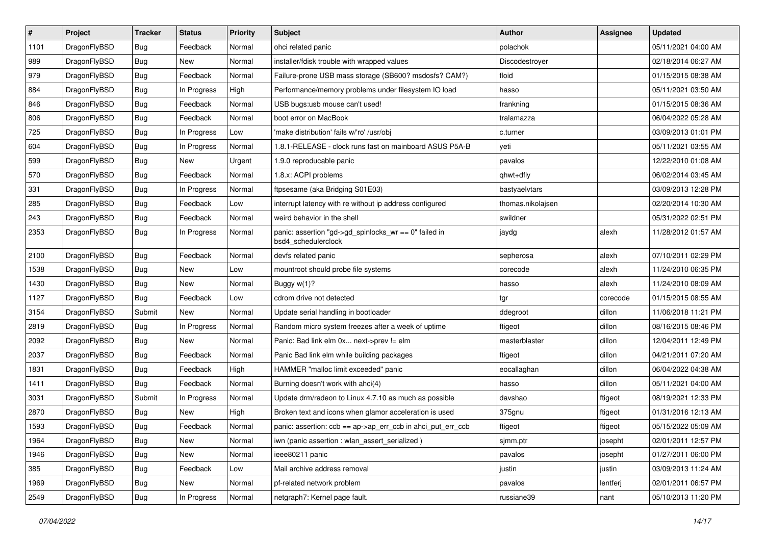| $\pmb{\#}$ | Project      | <b>Tracker</b> | <b>Status</b> | <b>Priority</b> | Subject                                                                      | <b>Author</b>     | <b>Assignee</b> | <b>Updated</b>      |
|------------|--------------|----------------|---------------|-----------------|------------------------------------------------------------------------------|-------------------|-----------------|---------------------|
| 1101       | DragonFlyBSD | Bug            | Feedback      | Normal          | ohci related panic                                                           | polachok          |                 | 05/11/2021 04:00 AM |
| 989        | DragonFlyBSD | Bug            | <b>New</b>    | Normal          | installer/fdisk trouble with wrapped values                                  | Discodestroyer    |                 | 02/18/2014 06:27 AM |
| 979        | DragonFlyBSD | Bug            | Feedback      | Normal          | Failure-prone USB mass storage (SB600? msdosfs? CAM?)                        | floid             |                 | 01/15/2015 08:38 AM |
| 884        | DragonFlyBSD | Bug            | In Progress   | High            | Performance/memory problems under filesystem IO load                         | hasso             |                 | 05/11/2021 03:50 AM |
| 846        | DragonFlyBSD | Bug            | Feedback      | Normal          | USB bugs:usb mouse can't used!                                               | frankning         |                 | 01/15/2015 08:36 AM |
| 806        | DragonFlyBSD | Bug            | Feedback      | Normal          | boot error on MacBook                                                        | tralamazza        |                 | 06/04/2022 05:28 AM |
| 725        | DragonFlyBSD | Bug            | In Progress   | Low             | 'make distribution' fails w/'ro' /usr/obj                                    | c.turner          |                 | 03/09/2013 01:01 PM |
| 604        | DragonFlyBSD | Bug            | In Progress   | Normal          | 1.8.1-RELEASE - clock runs fast on mainboard ASUS P5A-B                      | yeti              |                 | 05/11/2021 03:55 AM |
| 599        | DragonFlyBSD | <b>Bug</b>     | New           | Urgent          | 1.9.0 reproducable panic                                                     | pavalos           |                 | 12/22/2010 01:08 AM |
| 570        | DragonFlyBSD | Bug            | Feedback      | Normal          | 1.8.x: ACPI problems                                                         | qhwt+dfly         |                 | 06/02/2014 03:45 AM |
| 331        | DragonFlyBSD | Bug            | In Progress   | Normal          | ftpsesame (aka Bridging S01E03)                                              | bastyaelvtars     |                 | 03/09/2013 12:28 PM |
| 285        | DragonFlyBSD | Bug            | Feedback      | Low             | interrupt latency with re without ip address configured                      | thomas.nikolajsen |                 | 02/20/2014 10:30 AM |
| 243        | DragonFlyBSD | <b>Bug</b>     | Feedback      | Normal          | weird behavior in the shell                                                  | swildner          |                 | 05/31/2022 02:51 PM |
| 2353       | DragonFlyBSD | <b>Bug</b>     | In Progress   | Normal          | panic: assertion "gd->gd_spinlocks_wr == 0" failed in<br>bsd4 schedulerclock | jaydg             | alexh           | 11/28/2012 01:57 AM |
| 2100       | DragonFlyBSD | Bug            | Feedback      | Normal          | devfs related panic                                                          | sepherosa         | alexh           | 07/10/2011 02:29 PM |
| 1538       | DragonFlyBSD | Bug            | New           | Low             | mountroot should probe file systems                                          | corecode          | alexh           | 11/24/2010 06:35 PM |
| 1430       | DragonFlyBSD | Bug            | <b>New</b>    | Normal          | Buggy $w(1)$ ?                                                               | hasso             | alexh           | 11/24/2010 08:09 AM |
| 1127       | DragonFlyBSD | Bug            | Feedback      | Low             | cdrom drive not detected                                                     | tgr               | corecode        | 01/15/2015 08:55 AM |
| 3154       | DragonFlyBSD | Submit         | <b>New</b>    | Normal          | Update serial handling in bootloader                                         | ddegroot          | dillon          | 11/06/2018 11:21 PM |
| 2819       | DragonFlyBSD | Bug            | In Progress   | Normal          | Random micro system freezes after a week of uptime                           | ftigeot           | dillon          | 08/16/2015 08:46 PM |
| 2092       | DragonFlyBSD | <b>Bug</b>     | New           | Normal          | Panic: Bad link elm 0x next->prev != elm                                     | masterblaster     | dillon          | 12/04/2011 12:49 PM |
| 2037       | DragonFlyBSD | Bug            | Feedback      | Normal          | Panic Bad link elm while building packages                                   | ftigeot           | dillon          | 04/21/2011 07:20 AM |
| 1831       | DragonFlyBSD | <b>Bug</b>     | Feedback      | High            | HAMMER "malloc limit exceeded" panic                                         | eocallaghan       | dillon          | 06/04/2022 04:38 AM |
| 1411       | DragonFlyBSD | Bug            | Feedback      | Normal          | Burning doesn't work with ahci(4)                                            | hasso             | dillon          | 05/11/2021 04:00 AM |
| 3031       | DragonFlyBSD | Submit         | In Progress   | Normal          | Update drm/radeon to Linux 4.7.10 as much as possible                        | davshao           | ftigeot         | 08/19/2021 12:33 PM |
| 2870       | DragonFlyBSD | <b>Bug</b>     | <b>New</b>    | High            | Broken text and icons when glamor acceleration is used                       | 375gnu            | ftigeot         | 01/31/2016 12:13 AM |
| 1593       | DragonFlyBSD | Bug            | Feedback      | Normal          | panic: assertion: ccb == ap->ap_err_ccb in ahci_put_err_ccb                  | ftigeot           | ftigeot         | 05/15/2022 05:09 AM |
| 1964       | DragonFlyBSD | <b>Bug</b>     | <b>New</b>    | Normal          | iwn (panic assertion : wlan assert serialized)                               | sjmm.ptr          | josepht         | 02/01/2011 12:57 PM |
| 1946       | DragonFlyBSD | <b>Bug</b>     | New           | Normal          | ieee80211 panic                                                              | pavalos           | josepht         | 01/27/2011 06:00 PM |
| 385        | DragonFlyBSD | <b>Bug</b>     | Feedback      | Low             | Mail archive address removal                                                 | justin            | justin          | 03/09/2013 11:24 AM |
| 1969       | DragonFlyBSD | Bug            | New           | Normal          | pf-related network problem                                                   | pavalos           | lentferj        | 02/01/2011 06:57 PM |
| 2549       | DragonFlyBSD | <b>Bug</b>     | In Progress   | Normal          | netgraph7: Kernel page fault.                                                | russiane39        | nant            | 05/10/2013 11:20 PM |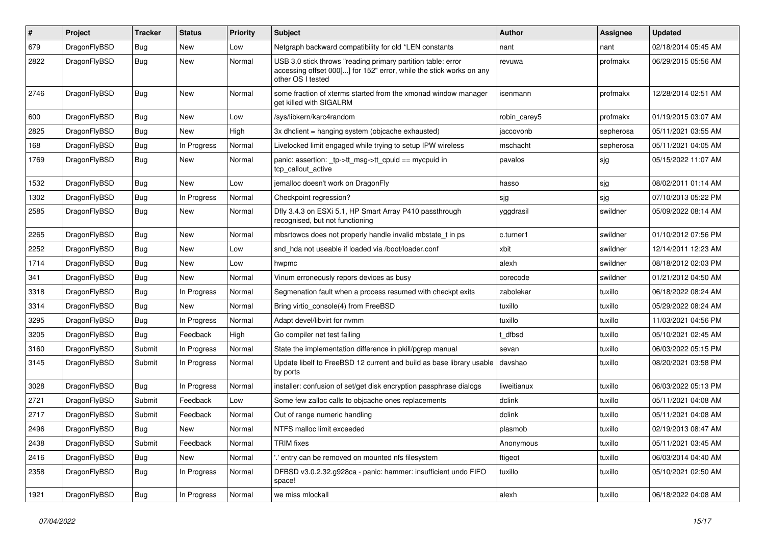| #    | Project      | <b>Tracker</b> | <b>Status</b> | <b>Priority</b> | Subject                                                                                                                                                  | <b>Author</b> | Assignee  | <b>Updated</b>      |
|------|--------------|----------------|---------------|-----------------|----------------------------------------------------------------------------------------------------------------------------------------------------------|---------------|-----------|---------------------|
| 679  | DragonFlyBSD | Bug            | New           | Low             | Netgraph backward compatibility for old *LEN constants                                                                                                   | nant          | nant      | 02/18/2014 05:45 AM |
| 2822 | DragonFlyBSD | <b>Bug</b>     | New           | Normal          | USB 3.0 stick throws "reading primary partition table: error<br>accessing offset 000[] for 152" error, while the stick works on any<br>other OS I tested | revuwa        | profmakx  | 06/29/2015 05:56 AM |
| 2746 | DragonFlyBSD | Bug            | New           | Normal          | some fraction of xterms started from the xmonad window manager<br>get killed with SIGALRM                                                                | isenmann      | profmakx  | 12/28/2014 02:51 AM |
| 600  | DragonFlyBSD | Bug            | New           | Low             | /sys/libkern/karc4random                                                                                                                                 | robin_carey5  | profmakx  | 01/19/2015 03:07 AM |
| 2825 | DragonFlyBSD | Bug            | New           | High            | 3x dhclient = hanging system (objcache exhausted)                                                                                                        | jaccovonb     | sepherosa | 05/11/2021 03:55 AM |
| 168  | DragonFlyBSD | Bug            | In Progress   | Normal          | Livelocked limit engaged while trying to setup IPW wireless                                                                                              | mschacht      | sepherosa | 05/11/2021 04:05 AM |
| 1769 | DragonFlyBSD | <b>Bug</b>     | New           | Normal          | panic: assertion: _tp->tt_msg->tt_cpuid == mycpuid in<br>tcp callout active                                                                              | pavalos       | sjg       | 05/15/2022 11:07 AM |
| 1532 | DragonFlyBSD | Bug            | New           | Low             | jemalloc doesn't work on DragonFly                                                                                                                       | hasso         | sjg       | 08/02/2011 01:14 AM |
| 1302 | DragonFlyBSD | Bug            | In Progress   | Normal          | Checkpoint regression?                                                                                                                                   | sjg           | sjg       | 07/10/2013 05:22 PM |
| 2585 | DragonFlyBSD | <b>Bug</b>     | New           | Normal          | Dfly 3.4.3 on ESXi 5.1, HP Smart Array P410 passthrough<br>recognised, but not functioning                                                               | yggdrasil     | swildner  | 05/09/2022 08:14 AM |
| 2265 | DragonFlyBSD | Bug            | New           | Normal          | mbsrtowcs does not properly handle invalid mbstate_t in ps                                                                                               | c.turner1     | swildner  | 01/10/2012 07:56 PM |
| 2252 | DragonFlyBSD | Bug            | <b>New</b>    | Low             | snd_hda not useable if loaded via /boot/loader.conf                                                                                                      | xbit          | swildner  | 12/14/2011 12:23 AM |
| 1714 | DragonFlyBSD | Bug            | New           | Low             | hwpmc                                                                                                                                                    | alexh         | swildner  | 08/18/2012 02:03 PM |
| 341  | DragonFlyBSD | Bug            | <b>New</b>    | Normal          | Vinum erroneously repors devices as busy                                                                                                                 | corecode      | swildner  | 01/21/2012 04:50 AM |
| 3318 | DragonFlyBSD | <b>Bug</b>     | In Progress   | Normal          | Segmenation fault when a process resumed with checkpt exits                                                                                              | zabolekar     | tuxillo   | 06/18/2022 08:24 AM |
| 3314 | DragonFlyBSD | Bug            | New           | Normal          | Bring virtio_console(4) from FreeBSD                                                                                                                     | tuxillo       | tuxillo   | 05/29/2022 08:24 AM |
| 3295 | DragonFlyBSD | Bug            | In Progress   | Normal          | Adapt devel/libvirt for nvmm                                                                                                                             | tuxillo       | tuxillo   | 11/03/2021 04:56 PM |
| 3205 | DragonFlyBSD | Bug            | Feedback      | High            | Go compiler net test failing                                                                                                                             | t dfbsd       | tuxillo   | 05/10/2021 02:45 AM |
| 3160 | DragonFlyBSD | Submit         | In Progress   | Normal          | State the implementation difference in pkill/pgrep manual                                                                                                | sevan         | tuxillo   | 06/03/2022 05:15 PM |
| 3145 | DragonFlyBSD | Submit         | In Progress   | Normal          | Update libelf to FreeBSD 12 current and build as base library usable<br>by ports                                                                         | davshao       | tuxillo   | 08/20/2021 03:58 PM |
| 3028 | DragonFlyBSD | Bug            | In Progress   | Normal          | installer: confusion of set/get disk encryption passphrase dialogs                                                                                       | liweitianux   | tuxillo   | 06/03/2022 05:13 PM |
| 2721 | DragonFlyBSD | Submit         | Feedback      | Low             | Some few zalloc calls to objcache ones replacements                                                                                                      | dclink        | tuxillo   | 05/11/2021 04:08 AM |
| 2717 | DragonFlyBSD | Submit         | Feedback      | Normal          | Out of range numeric handling                                                                                                                            | dclink        | tuxillo   | 05/11/2021 04:08 AM |
| 2496 | DragonFlyBSD | Bug            | <b>New</b>    | Normal          | NTFS malloc limit exceeded                                                                                                                               | plasmob       | tuxillo   | 02/19/2013 08:47 AM |
| 2438 | DragonFlyBSD | Submit         | Feedback      | Normal          | <b>TRIM</b> fixes                                                                                                                                        | Anonymous     | tuxillo   | 05/11/2021 03:45 AM |
| 2416 | DragonFlyBSD | <b>Bug</b>     | New           | Normal          | ".' entry can be removed on mounted nfs filesystem                                                                                                       | ftigeot       | tuxillo   | 06/03/2014 04:40 AM |
| 2358 | DragonFlyBSD | <b>Bug</b>     | In Progress   | Normal          | DFBSD v3.0.2.32.g928ca - panic: hammer: insufficient undo FIFO<br>space!                                                                                 | tuxillo       | tuxillo   | 05/10/2021 02:50 AM |
| 1921 | DragonFlyBSD | <b>Bug</b>     | In Progress   | Normal          | we miss mlockall                                                                                                                                         | alexh         | tuxillo   | 06/18/2022 04:08 AM |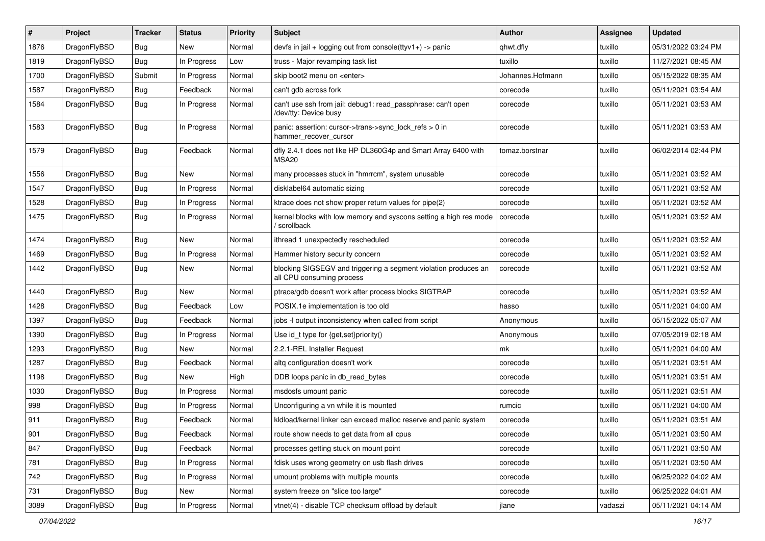| #    | Project      | <b>Tracker</b> | <b>Status</b> | <b>Priority</b> | Subject                                                                                      | <b>Author</b>    | <b>Assignee</b> | <b>Updated</b>      |
|------|--------------|----------------|---------------|-----------------|----------------------------------------------------------------------------------------------|------------------|-----------------|---------------------|
| 1876 | DragonFlyBSD | <b>Bug</b>     | New           | Normal          | devfs in $ ail + logging$ out from console(ttyv1+) -> panic                                  | qhwt.dfly        | tuxillo         | 05/31/2022 03:24 PM |
| 1819 | DragonFlyBSD | Bug            | In Progress   | Low             | truss - Major revamping task list                                                            | tuxillo          | tuxillo         | 11/27/2021 08:45 AM |
| 1700 | DragonFlyBSD | Submit         | In Progress   | Normal          | skip boot2 menu on <enter></enter>                                                           | Johannes.Hofmann | tuxillo         | 05/15/2022 08:35 AM |
| 1587 | DragonFlyBSD | <b>Bug</b>     | Feedback      | Normal          | can't gdb across fork                                                                        | corecode         | tuxillo         | 05/11/2021 03:54 AM |
| 1584 | DragonFlyBSD | Bug            | In Progress   | Normal          | can't use ssh from jail: debug1: read passphrase: can't open<br>/dev/tty: Device busy        | corecode         | tuxillo         | 05/11/2021 03:53 AM |
| 1583 | DragonFlyBSD | Bug            | In Progress   | Normal          | panic: assertion: cursor->trans->sync_lock_refs > 0 in<br>hammer_recover_cursor              | corecode         | tuxillo         | 05/11/2021 03:53 AM |
| 1579 | DragonFlyBSD | <b>Bug</b>     | Feedback      | Normal          | dfly 2.4.1 does not like HP DL360G4p and Smart Array 6400 with<br>MSA20                      | tomaz.borstnar   | tuxillo         | 06/02/2014 02:44 PM |
| 1556 | DragonFlyBSD | <b>Bug</b>     | <b>New</b>    | Normal          | many processes stuck in "hmrrcm", system unusable                                            | corecode         | tuxillo         | 05/11/2021 03:52 AM |
| 1547 | DragonFlyBSD | <b>Bug</b>     | In Progress   | Normal          | disklabel64 automatic sizing                                                                 | corecode         | tuxillo         | 05/11/2021 03:52 AM |
| 1528 | DragonFlyBSD | <b>Bug</b>     | In Progress   | Normal          | ktrace does not show proper return values for pipe(2)                                        | corecode         | tuxillo         | 05/11/2021 03:52 AM |
| 1475 | DragonFlyBSD | <b>Bug</b>     | In Progress   | Normal          | kernel blocks with low memory and syscons setting a high res mode<br>/ scrollback            | corecode         | tuxillo         | 05/11/2021 03:52 AM |
| 1474 | DragonFlyBSD | <b>Bug</b>     | <b>New</b>    | Normal          | ithread 1 unexpectedly rescheduled                                                           | corecode         | tuxillo         | 05/11/2021 03:52 AM |
| 1469 | DragonFlyBSD | <b>Bug</b>     | In Progress   | Normal          | Hammer history security concern                                                              | corecode         | tuxillo         | 05/11/2021 03:52 AM |
| 1442 | DragonFlyBSD | <b>Bug</b>     | <b>New</b>    | Normal          | blocking SIGSEGV and triggering a segment violation produces an<br>all CPU consuming process | corecode         | tuxillo         | 05/11/2021 03:52 AM |
| 1440 | DragonFlyBSD | <b>Bug</b>     | <b>New</b>    | Normal          | ptrace/gdb doesn't work after process blocks SIGTRAP                                         | corecode         | tuxillo         | 05/11/2021 03:52 AM |
| 1428 | DragonFlyBSD | <b>Bug</b>     | Feedback      | Low             | POSIX.1e implementation is too old                                                           | hasso            | tuxillo         | 05/11/2021 04:00 AM |
| 1397 | DragonFlyBSD | <b>Bug</b>     | Feedback      | Normal          | jobs -I output inconsistency when called from script                                         | Anonymous        | tuxillo         | 05/15/2022 05:07 AM |
| 1390 | DragonFlyBSD | <b>Bug</b>     | In Progress   | Normal          | Use id_t type for $\{get, set\}$ priority $()$                                               | Anonymous        | tuxillo         | 07/05/2019 02:18 AM |
| 1293 | DragonFlyBSD | <b>Bug</b>     | <b>New</b>    | Normal          | 2.2.1-REL Installer Request                                                                  | mk               | tuxillo         | 05/11/2021 04:00 AM |
| 1287 | DragonFlyBSD | <b>Bug</b>     | Feedback      | Normal          | altq configuration doesn't work                                                              | corecode         | tuxillo         | 05/11/2021 03:51 AM |
| 1198 | DragonFlyBSD | <b>Bug</b>     | <b>New</b>    | High            | DDB loops panic in db read bytes                                                             | corecode         | tuxillo         | 05/11/2021 03:51 AM |
| 1030 | DragonFlyBSD | <b>Bug</b>     | In Progress   | Normal          | msdosfs umount panic                                                                         | corecode         | tuxillo         | 05/11/2021 03:51 AM |
| 998  | DragonFlyBSD | <b>Bug</b>     | In Progress   | Normal          | Unconfiguring a vn while it is mounted                                                       | rumcic           | tuxillo         | 05/11/2021 04:00 AM |
| 911  | DragonFlyBSD | <b>Bug</b>     | Feedback      | Normal          | kldload/kernel linker can exceed malloc reserve and panic system                             | corecode         | tuxillo         | 05/11/2021 03:51 AM |
| 901  | DragonFlyBSD | Bug            | Feedback      | Normal          | route show needs to get data from all cpus                                                   | corecode         | tuxillo         | 05/11/2021 03:50 AM |
| 847  | DragonFlyBSD | <b>Bug</b>     | Feedback      | Normal          | processes getting stuck on mount point                                                       | corecode         | tuxillo         | 05/11/2021 03:50 AM |
| 781  | DragonFlyBSD | <b>Bug</b>     | In Progress   | Normal          | fdisk uses wrong geometry on usb flash drives                                                | corecode         | tuxillo         | 05/11/2021 03:50 AM |
| 742  | DragonFlyBSD | <b>Bug</b>     | In Progress   | Normal          | umount problems with multiple mounts                                                         | corecode         | tuxillo         | 06/25/2022 04:02 AM |
| 731  | DragonFlyBSD | <b>Bug</b>     | New           | Normal          | system freeze on "slice too large"                                                           | corecode         | tuxillo         | 06/25/2022 04:01 AM |
| 3089 | DragonFlyBSD | Bug            | In Progress   | Normal          | vtnet(4) - disable TCP checksum offload by default                                           | jlane            | vadaszi         | 05/11/2021 04:14 AM |